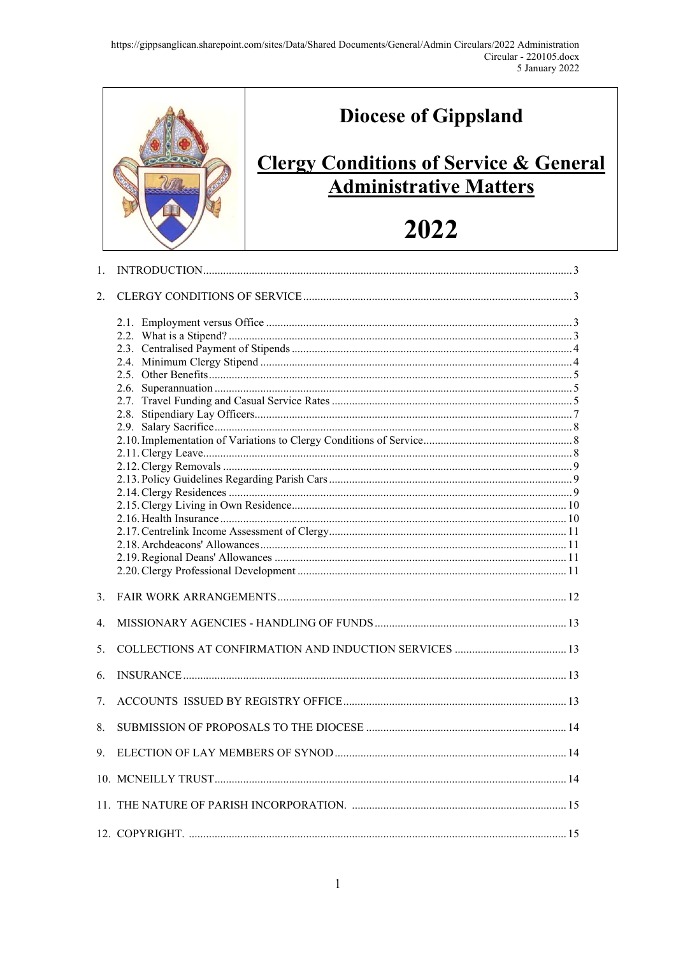

| 1. |  |
|----|--|
| 2. |  |
|    |  |
| 3. |  |
| 4. |  |
| 5. |  |
| 6. |  |
| 7. |  |
| 8. |  |
| 9. |  |
|    |  |
|    |  |
|    |  |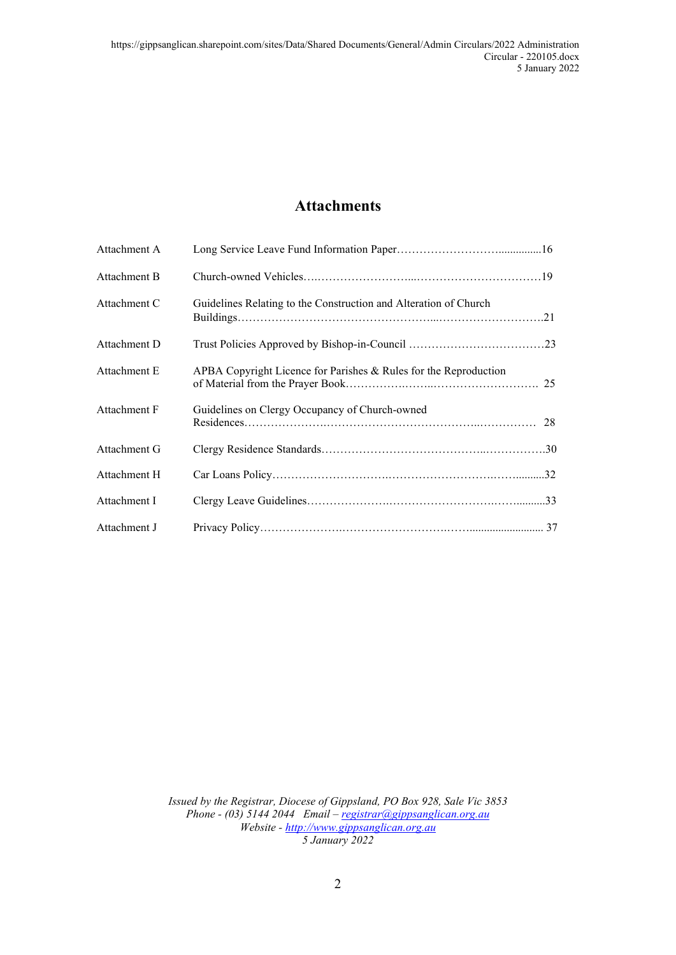## **Attachments**

| Attachment A |                                                                  |  |
|--------------|------------------------------------------------------------------|--|
| Attachment B |                                                                  |  |
| Attachment C | Guidelines Relating to the Construction and Alteration of Church |  |
| Attachment D |                                                                  |  |
| Attachment E | APBA Copyright Licence for Parishes & Rules for the Reproduction |  |
| Attachment F | Guidelines on Clergy Occupancy of Church-owned                   |  |
| Attachment G |                                                                  |  |
| Attachment H |                                                                  |  |
| Attachment I |                                                                  |  |
| Attachment J |                                                                  |  |

*Issued by the Registrar, Diocese of Gippsland, PO Box 928, Sale Vic 3853 Phone - (03) 5144 2044 Email – [registrar@gippsanglican.org.au](mailto:registrar@gippsanglican.org.au) Website - http://www.gippsanglican.org.au 5 January 2022*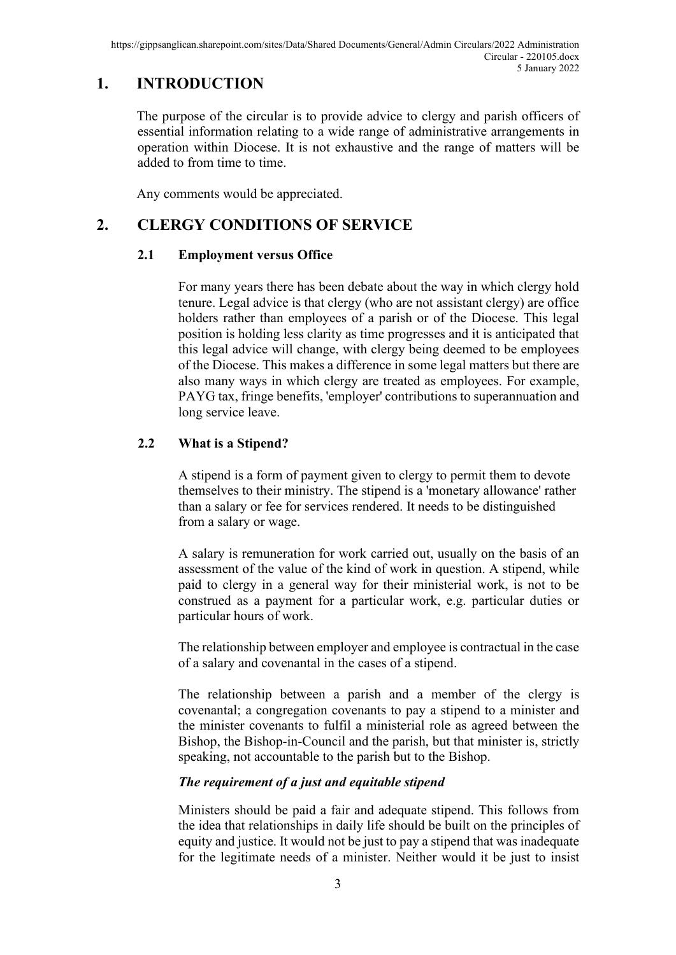## **1. INTRODUCTION**

The purpose of the circular is to provide advice to clergy and parish officers of essential information relating to a wide range of administrative arrangements in operation within Diocese. It is not exhaustive and the range of matters will be added to from time to time.

Any comments would be appreciated.

## <span id="page-2-0"></span>**2. CLERGY CONDITIONS OF SERVICE**

### **2.1 Employment versus Office**

For many years there has been debate about the way in which clergy hold tenure. Legal advice is that clergy (who are not assistant clergy) are office holders rather than employees of a parish or of the Diocese. This legal position is holding less clarity as time progresses and it is anticipated that this legal advice will change, with clergy being deemed to be employees of the Diocese. This makes a difference in some legal matters but there are also many ways in which clergy are treated as employees. For example, PAYG tax, fringe benefits, 'employer' contributions to superannuation and long service leave.

### **2.2 What is a Stipend?**

A stipend is a form of payment given to clergy to permit them to devote themselves to their ministry. The stipend is a 'monetary allowance' rather than a salary or fee for services rendered. It needs to be distinguished from a salary or wage.

A salary is remuneration for work carried out, usually on the basis of an assessment of the value of the kind of work in question. A stipend, while paid to clergy in a general way for their ministerial work, is not to be construed as a payment for a particular work, e.g. particular duties or particular hours of work.

The relationship between employer and employee is contractual in the case of a salary and covenantal in the cases of a stipend.

The relationship between a parish and a member of the clergy is covenantal; a congregation covenants to pay a stipend to a minister and the minister covenants to fulfil a ministerial role as agreed between the Bishop, the Bishop-in-Council and the parish, but that minister is, strictly speaking, not accountable to the parish but to the Bishop.

### *The requirement of a just and equitable stipend*

Ministers should be paid a fair and adequate stipend. This follows from the idea that relationships in daily life should be built on the principles of equity and justice. It would not be just to pay a stipend that was inadequate for the legitimate needs of a minister. Neither would it be just to insist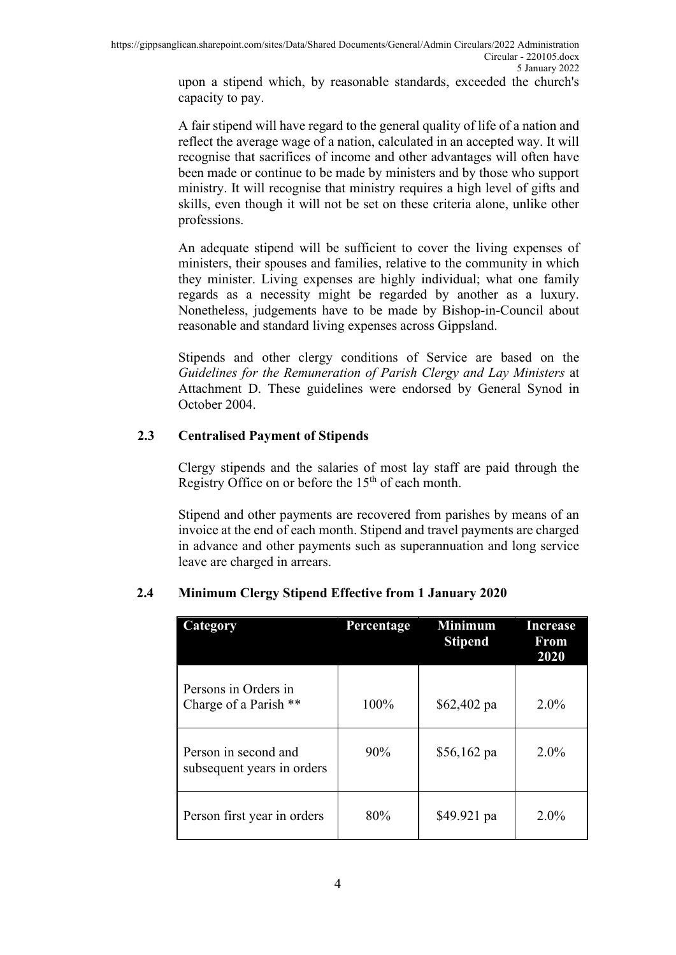upon a stipend which, by reasonable standards, exceeded the church's capacity to pay.

A fair stipend will have regard to the general quality of life of a nation and reflect the average wage of a nation, calculated in an accepted way. It will recognise that sacrifices of income and other advantages will often have been made or continue to be made by ministers and by those who support ministry. It will recognise that ministry requires a high level of gifts and skills, even though it will not be set on these criteria alone, unlike other professions.

An adequate stipend will be sufficient to cover the living expenses of ministers, their spouses and families, relative to the community in which they minister. Living expenses are highly individual; what one family regards as a necessity might be regarded by another as a luxury. Nonetheless, judgements have to be made by Bishop-in-Council about reasonable and standard living expenses across Gippsland.

Stipends and other clergy conditions of Service are based on the *Guidelines for the Remuneration of Parish Clergy and Lay Ministers* at Attachment D. These guidelines were endorsed by General Synod in October 2004.

#### **2.3 Centralised Payment of Stipends**

Clergy stipends and the salaries of most lay staff are paid through the Registry Office on or before the  $15<sup>th</sup>$  of each month.

Stipend and other payments are recovered from parishes by means of an invoice at the end of each month. Stipend and travel payments are charged in advance and other payments such as superannuation and long service leave are charged in arrears.

| Category                                           | Percentage | <b>Minimum</b><br><b>Stipend</b> | Increase<br>From<br>2020 |
|----------------------------------------------------|------------|----------------------------------|--------------------------|
| Persons in Orders in<br>Charge of a Parish **      | 100%       | $$62,402$ pa                     | $2.0\%$                  |
| Person in second and<br>subsequent years in orders | 90%        | $$56,162$ pa                     | $2.0\%$                  |
| Person first year in orders                        | 80%        | \$49.921 pa                      | $2.0\%$                  |

### **2.4 Minimum Clergy Stipend Effective from 1 January 2020**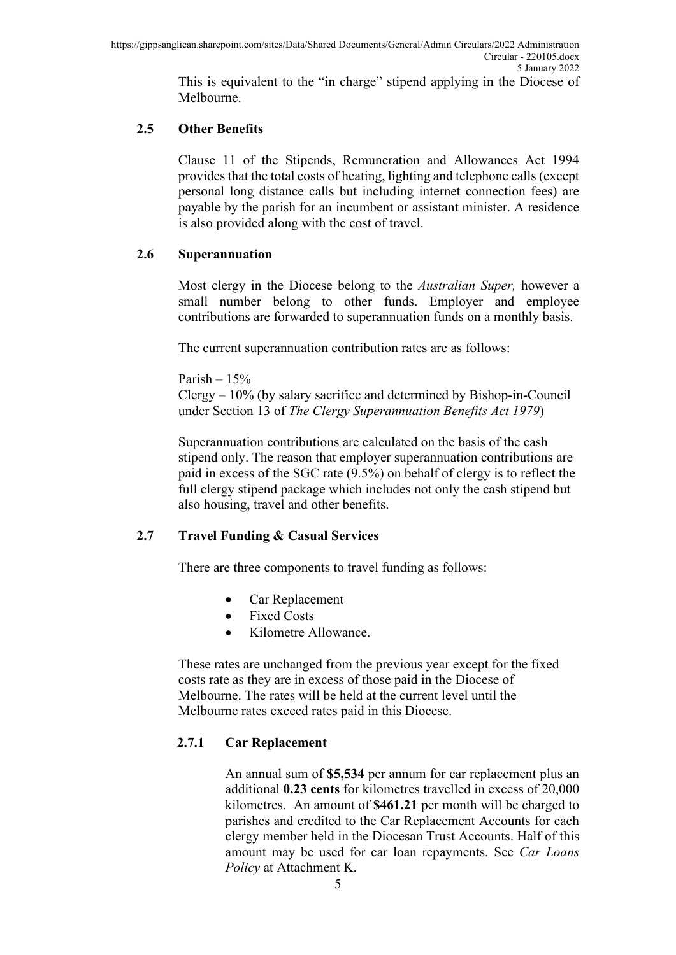This is equivalent to the "in charge" stipend applying in the Diocese of Melbourne.

#### **2.5 Other Benefits**

Clause 11 of the Stipends, Remuneration and Allowances Act 1994 provides that the total costs of heating, lighting and telephone calls (except personal long distance calls but including internet connection fees) are payable by the parish for an incumbent or assistant minister. A residence is also provided along with the cost of travel.

#### **2.6 Superannuation**

Most clergy in the Diocese belong to the *Australian Super,* however a small number belong to other funds. Employer and employee contributions are forwarded to superannuation funds on a monthly basis.

The current superannuation contribution rates are as follows:

Parish –  $15%$ 

Clergy – 10% (by salary sacrifice and determined by Bishop-in-Council under Section 13 of *The Clergy Superannuation Benefits Act 1979*)

Superannuation contributions are calculated on the basis of the cash stipend only. The reason that employer superannuation contributions are paid in excess of the SGC rate (9.5%) on behalf of clergy is to reflect the full clergy stipend package which includes not only the cash stipend but also housing, travel and other benefits.

#### **2.7 Travel Funding & Casual Services**

There are three components to travel funding as follows:

- Car Replacement
- Fixed Costs
- Kilometre Allowance.

These rates are unchanged from the previous year except for the fixed costs rate as they are in excess of those paid in the Diocese of Melbourne. The rates will be held at the current level until the Melbourne rates exceed rates paid in this Diocese.

### **2.7.1 Car Replacement**

An annual sum of **\$5,534** per annum for car replacement plus an additional **0.23 cents** for kilometres travelled in excess of 20,000 kilometres. An amount of **\$461.21** per month will be charged to parishes and credited to the Car Replacement Accounts for each clergy member held in the Diocesan Trust Accounts. Half of this amount may be used for car loan repayments. See *Car Loans Policy* at Attachment K.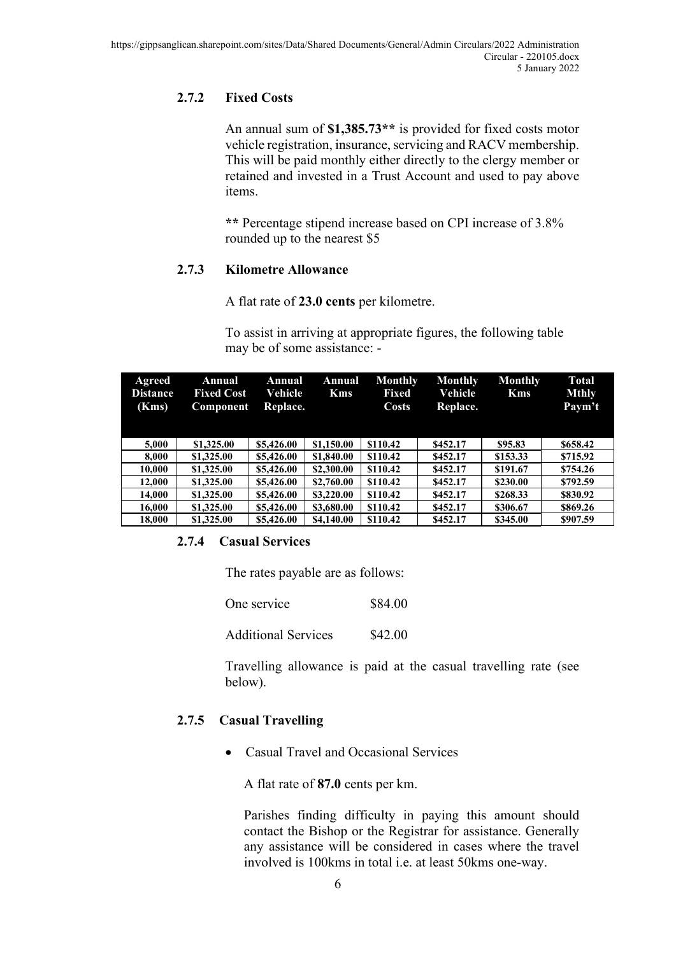### **2.7.2 Fixed Costs**

An annual sum of **\$1,385.73\*\*** is provided for fixed costs motor vehicle registration, insurance, servicing and RACV membership. This will be paid monthly either directly to the clergy member or retained and invested in a Trust Account and used to pay above items.

**\*\*** Percentage stipend increase based on CPI increase of 3.8% rounded up to the nearest \$5

### **2.7.3 Kilometre Allowance**

A flat rate of **23.0 cents** per kilometre.

To assist in arriving at appropriate figures, the following table may be of some assistance: -

| Agreed<br><b>Distance</b><br>(Kms) | Annual<br><b>Fixed Cost</b><br>Component | Annual<br>Vehicle<br>Replace. | Annual<br><b>Kms</b> | <b>Monthly</b><br>Fixed<br>Costs | <b>Monthly</b><br>Vehicle<br>Replace. | <b>Monthly</b><br><b>Kms</b> | <b>Total</b><br><b>Mthly</b><br>Paym't |
|------------------------------------|------------------------------------------|-------------------------------|----------------------|----------------------------------|---------------------------------------|------------------------------|----------------------------------------|
| 5.000                              | \$1,325.00                               | \$5,426.00                    | \$1,150.00           | \$110.42                         | \$452.17                              | \$95.83                      | \$658.42                               |
| 8.000                              | \$1,325.00                               | \$5,426.00                    | \$1,840.00           | \$110.42                         | \$452.17                              | \$153.33                     | \$715.92                               |
| 10.000                             | \$1,325.00                               | \$5,426.00                    | \$2,300.00           | \$110.42                         | \$452.17                              | \$191.67                     | \$754.26                               |
| 12.000                             | \$1,325.00                               | \$5,426.00                    | \$2,760.00           | \$110.42                         | \$452.17                              | \$230.00                     | \$792.59                               |
| 14.000                             | \$1,325.00                               | \$5,426.00                    | \$3,220.00           | \$110.42                         | \$452.17                              | \$268.33                     | \$830.92                               |
| 16.000                             | \$1,325.00                               | \$5,426.00                    | \$3,680.00           | \$110.42                         | \$452.17                              | \$306.67                     | \$869.26                               |
| 18.000                             | \$1,325.00                               | \$5,426.00                    | \$4,140.00           | \$110.42                         | \$452.17                              | \$345.00                     | \$907.59                               |

### **2.7.4 Casual Services**

The rates payable are as follows:

| One service                | \$84.00 |
|----------------------------|---------|
| <b>Additional Services</b> | \$42.00 |

Travelling allowance is paid at the casual travelling rate (see below).

### **2.7.5 Casual Travelling**

• Casual Travel and Occasional Services

A flat rate of **87.0** cents per km.

Parishes finding difficulty in paying this amount should contact the Bishop or the Registrar for assistance. Generally any assistance will be considered in cases where the travel involved is 100kms in total i.e. at least 50kms one-way.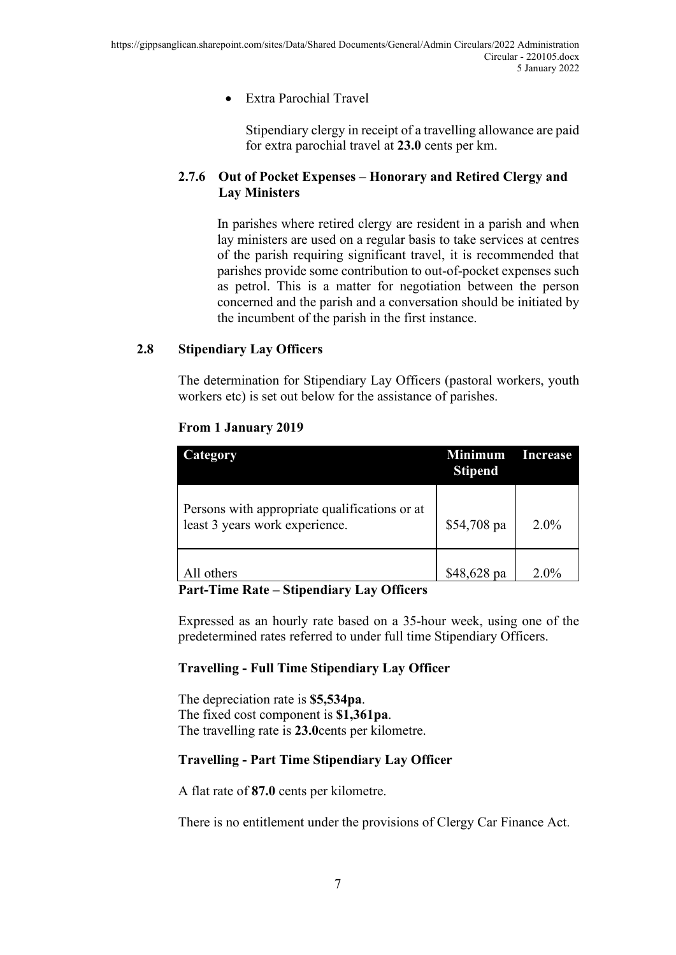#### • Extra Parochial Travel

Stipendiary clergy in receipt of a travelling allowance are paid for extra parochial travel at **23.0** cents per km.

#### **2.7.6 Out of Pocket Expenses – Honorary and Retired Clergy and Lay Ministers**

In parishes where retired clergy are resident in a parish and when lay ministers are used on a regular basis to take services at centres of the parish requiring significant travel, it is recommended that parishes provide some contribution to out-of-pocket expenses such as petrol. This is a matter for negotiation between the person concerned and the parish and a conversation should be initiated by the incumbent of the parish in the first instance.

#### **2.8 Stipendiary Lay Officers**

The determination for Stipendiary Lay Officers (pastoral workers, youth workers etc) is set out below for the assistance of parishes.

#### **From 1 January 2019**

| Category                                                                        | <b>Minimum</b><br><b>Stipend</b> | Increase |
|---------------------------------------------------------------------------------|----------------------------------|----------|
| Persons with appropriate qualifications or at<br>least 3 years work experience. | \$54,708 pa                      | $2.0\%$  |
| All others                                                                      | \$48,628 pa                      | $2.0\%$  |

#### **Part-Time Rate – Stipendiary Lay Officers**

Expressed as an hourly rate based on a 35-hour week, using one of the predetermined rates referred to under full time Stipendiary Officers.

#### **Travelling - Full Time Stipendiary Lay Officer**

The depreciation rate is **\$5,534pa**. The fixed cost component is **\$1,361pa**. The travelling rate is **23.0**cents per kilometre.

#### **Travelling - Part Time Stipendiary Lay Officer**

A flat rate of **87.0** cents per kilometre.

There is no entitlement under the provisions of Clergy Car Finance Act.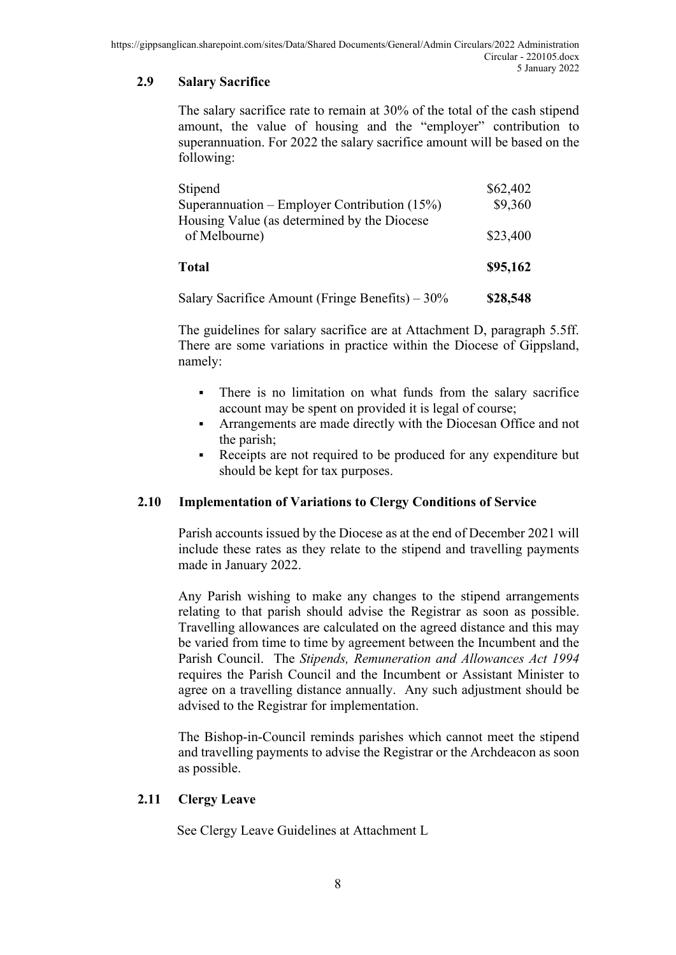### **2.9 Salary Sacrifice**

The salary sacrifice rate to remain at 30% of the total of the cash stipend amount, the value of housing and the "employer" contribution to superannuation. For 2022 the salary sacrifice amount will be based on the following:

| Stipend<br>Superannuation – Employer Contribution $(15%)$<br>Housing Value (as determined by the Diocese | \$62,402<br>\$9,360 |
|----------------------------------------------------------------------------------------------------------|---------------------|
| of Melbourne)                                                                                            | \$23,400            |
| <b>Total</b>                                                                                             | \$95,162            |
| Salary Sacrifice Amount (Fringe Benefits) $-30\%$                                                        | \$28,548            |

The guidelines for salary sacrifice are at Attachment D, paragraph 5.5ff. There are some variations in practice within the Diocese of Gippsland, namely:

- There is no limitation on what funds from the salary sacrifice account may be spent on provided it is legal of course;
- Arrangements are made directly with the Diocesan Office and not the parish;
- Receipts are not required to be produced for any expenditure but should be kept for tax purposes.

#### **2.10 Implementation of Variations to Clergy Conditions of Service**

Parish accounts issued by the Diocese as at the end of December 2021 will include these rates as they relate to the stipend and travelling payments made in January 2022.

Any Parish wishing to make any changes to the stipend arrangements relating to that parish should advise the Registrar as soon as possible. Travelling allowances are calculated on the agreed distance and this may be varied from time to time by agreement between the Incumbent and the Parish Council. The *Stipends, Remuneration and Allowances Act 1994* requires the Parish Council and the Incumbent or Assistant Minister to agree on a travelling distance annually. Any such adjustment should be advised to the Registrar for implementation.

The Bishop-in-Council reminds parishes which cannot meet the stipend and travelling payments to advise the Registrar or the Archdeacon as soon as possible.

#### **2.11 Clergy Leave**

See Clergy Leave Guidelines at Attachment L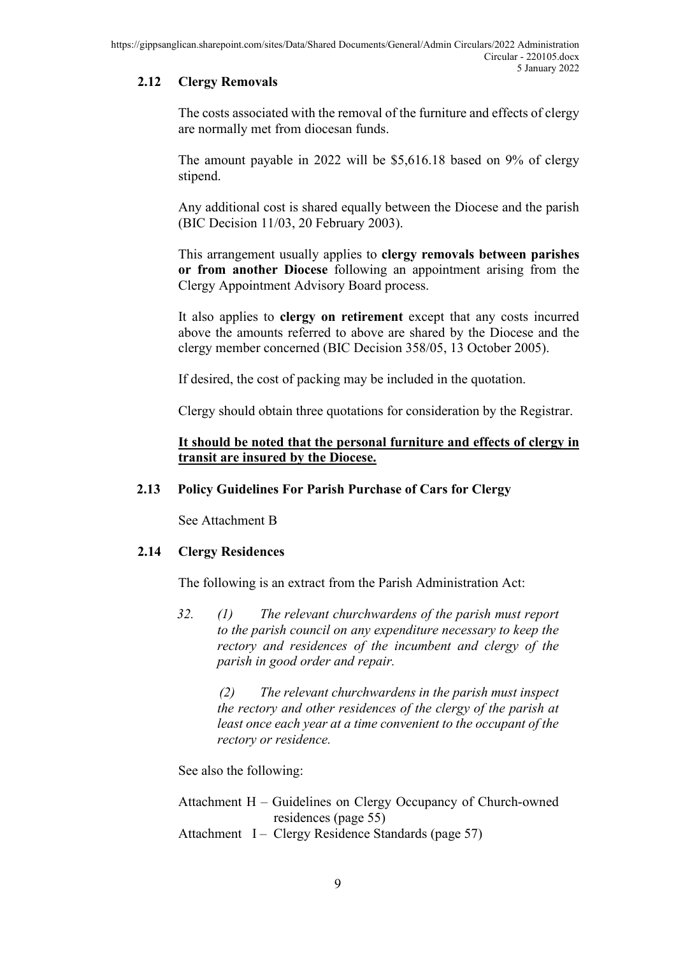### **2.12 Clergy Removals**

The costs associated with the removal of the furniture and effects of clergy are normally met from diocesan funds.

The amount payable in 2022 will be \$5,616.18 based on 9% of clergy stipend.

Any additional cost is shared equally between the Diocese and the parish (BIC Decision 11/03, 20 February 2003).

This arrangement usually applies to **clergy removals between parishes or from another Diocese** following an appointment arising from the Clergy Appointment Advisory Board process.

It also applies to **clergy on retirement** except that any costs incurred above the amounts referred to above are shared by the Diocese and the clergy member concerned (BIC Decision 358/05, 13 October 2005).

If desired, the cost of packing may be included in the quotation.

Clergy should obtain three quotations for consideration by the Registrar.

#### **It should be noted that the personal furniture and effects of clergy in transit are insured by the Diocese.**

#### **2.13 Policy Guidelines For Parish Purchase of Cars for Clergy**

See Attachment B

#### **2.14 Clergy Residences**

The following is an extract from the Parish Administration Act:

*32. (1) The relevant churchwardens of the parish must report to the parish council on any expenditure necessary to keep the rectory and residences of the incumbent and clergy of the parish in good order and repair.*

> *(2) The relevant churchwardens in the parish must inspect the rectory and other residences of the clergy of the parish at least once each year at a time convenient to the occupant of the rectory or residence.*

See also the following:

- Attachment H Guidelines on Clergy Occupancy of Church-owned residences (page 55)
- Attachment I Clergy Residence Standards (page 57)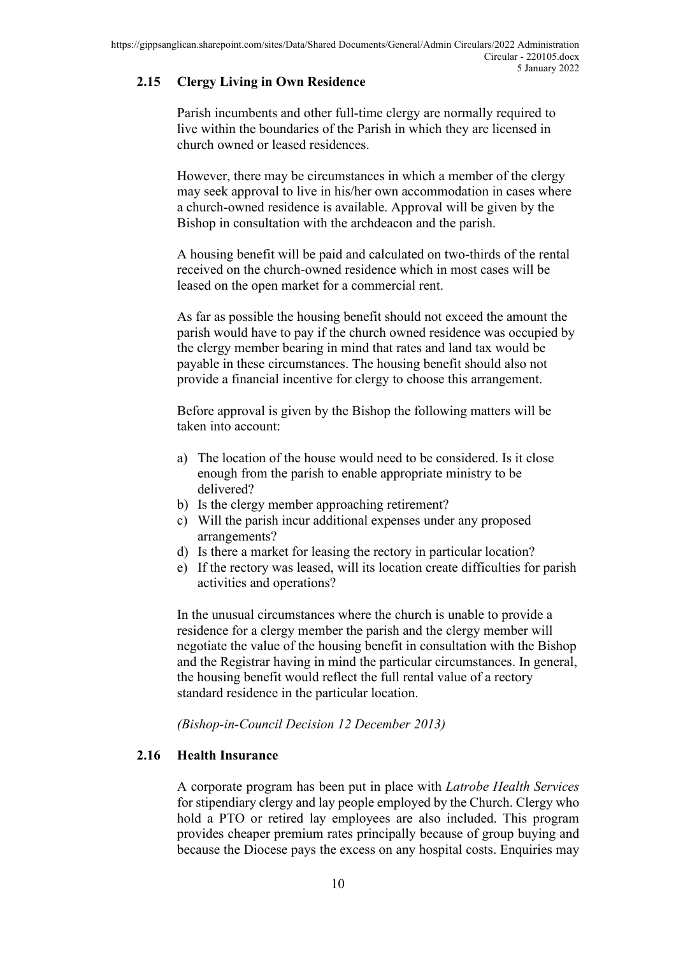### **2.15 Clergy Living in Own Residence**

Parish incumbents and other full-time clergy are normally required to live within the boundaries of the Parish in which they are licensed in church owned or leased residences.

However, there may be circumstances in which a member of the clergy may seek approval to live in his/her own accommodation in cases where a church-owned residence is available. Approval will be given by the Bishop in consultation with the archdeacon and the parish.

A housing benefit will be paid and calculated on two-thirds of the rental received on the church-owned residence which in most cases will be leased on the open market for a commercial rent.

As far as possible the housing benefit should not exceed the amount the parish would have to pay if the church owned residence was occupied by the clergy member bearing in mind that rates and land tax would be payable in these circumstances. The housing benefit should also not provide a financial incentive for clergy to choose this arrangement.

Before approval is given by the Bishop the following matters will be taken into account:

- a) The location of the house would need to be considered. Is it close enough from the parish to enable appropriate ministry to be delivered?
- b) Is the clergy member approaching retirement?
- c) Will the parish incur additional expenses under any proposed arrangements?
- d) Is there a market for leasing the rectory in particular location?
- e) If the rectory was leased, will its location create difficulties for parish activities and operations?

In the unusual circumstances where the church is unable to provide a residence for a clergy member the parish and the clergy member will negotiate the value of the housing benefit in consultation with the Bishop and the Registrar having in mind the particular circumstances. In general, the housing benefit would reflect the full rental value of a rectory standard residence in the particular location.

*(Bishop-in-Council Decision 12 December 2013)*

#### **2.16 Health Insurance**

A corporate program has been put in place with *Latrobe Health Services* for stipendiary clergy and lay people employed by the Church. Clergy who hold a PTO or retired lay employees are also included. This program provides cheaper premium rates principally because of group buying and because the Diocese pays the excess on any hospital costs. Enquiries may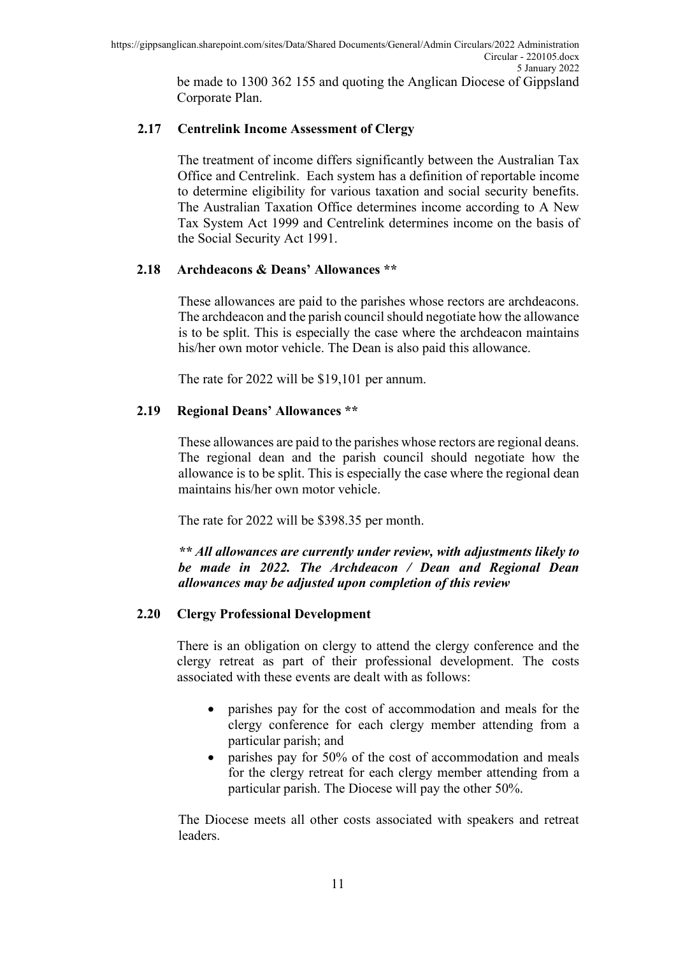be made to 1300 362 155 and quoting the Anglican Diocese of Gippsland Corporate Plan.

#### **2.17 Centrelink Income Assessment of Clergy**

The treatment of income differs significantly between the Australian Tax Office and Centrelink. Each system has a definition of reportable income to determine eligibility for various taxation and social security benefits. The Australian Taxation Office determines income according to A New Tax System Act 1999 and Centrelink determines income on the basis of the Social Security Act 1991.

#### **2.18 Archdeacons & Deans' Allowances \*\***

These allowances are paid to the parishes whose rectors are archdeacons. The archdeacon and the parish council should negotiate how the allowance is to be split. This is especially the case where the archdeacon maintains his/her own motor vehicle. The Dean is also paid this allowance.

The rate for 2022 will be \$19,101 per annum.

#### **2.19 Regional Deans' Allowances \*\***

These allowances are paid to the parishes whose rectors are regional deans. The regional dean and the parish council should negotiate how the allowance is to be split. This is especially the case where the regional dean maintains his/her own motor vehicle.

The rate for 2022 will be \$398.35 per month.

*\*\* All allowances are currently under review, with adjustments likely to be made in 2022. The Archdeacon / Dean and Regional Dean allowances may be adjusted upon completion of this review*

#### **2.20 Clergy Professional Development**

There is an obligation on clergy to attend the clergy conference and the clergy retreat as part of their professional development. The costs associated with these events are dealt with as follows:

- parishes pay for the cost of accommodation and meals for the clergy conference for each clergy member attending from a particular parish; and
- parishes pay for 50% of the cost of accommodation and meals for the clergy retreat for each clergy member attending from a particular parish. The Diocese will pay the other 50%.

The Diocese meets all other costs associated with speakers and retreat leaders.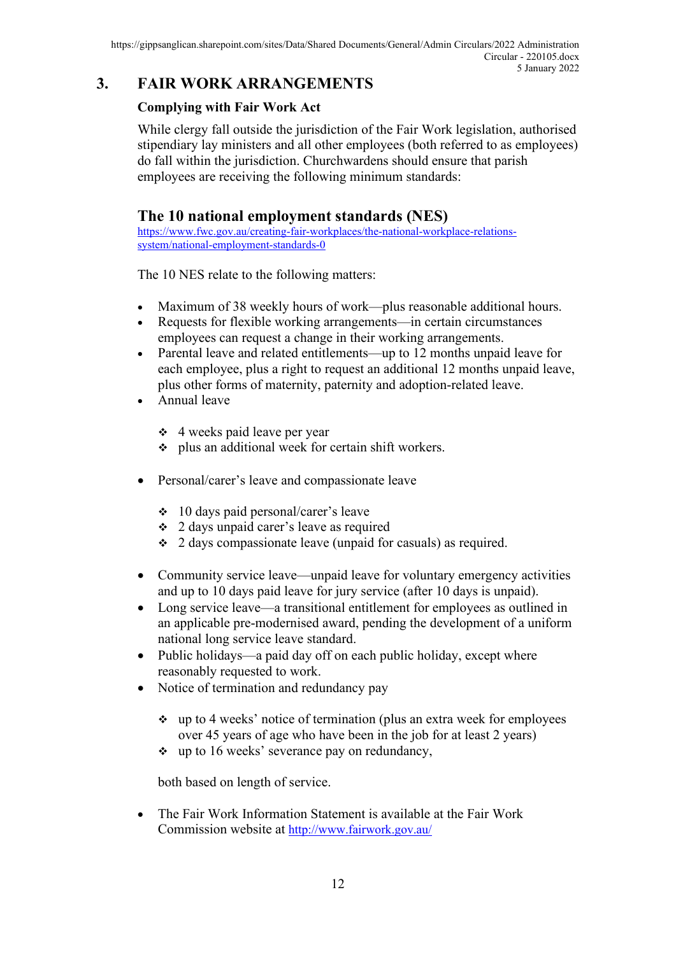## **3. FAIR WORK ARRANGEMENTS**

### **Complying with Fair Work Act**

While clergy fall outside the jurisdiction of the Fair Work legislation, authorised stipendiary lay ministers and all other employees (both referred to as employees) do fall within the jurisdiction. Churchwardens should ensure that parish employees are receiving the following minimum standards:

## **The 10 national employment standards (NES)**

[https://www.fwc.gov.au/creating-fair-workplaces/the-national-workplace-relations](https://www.fwc.gov.au/creating-fair-workplaces/the-national-workplace-relations-system/national-employment-standards-0)[system/national-employment-standards-0](https://www.fwc.gov.au/creating-fair-workplaces/the-national-workplace-relations-system/national-employment-standards-0)

The 10 NES relate to the following matters:

- Maximum of 38 weekly hours of work—plus reasonable additional hours.
- Requests for flexible working arrangements—in certain circumstances employees can request a change in their working arrangements.
- Parental leave and related entitlements—up to 12 months unpaid leave for each employee, plus a right to request an additional 12 months unpaid leave, plus other forms of maternity, paternity and adoption-related leave.
- Annual leave
	- $\div$  4 weeks paid leave per year
	- plus an additional week for certain shift workers.
- Personal/carer's leave and compassionate leave
	- 10 days paid personal/carer's leave
	- 2 days unpaid carer's leave as required
	- $\div$  2 days compassionate leave (unpaid for casuals) as required.
- Community service leave—unpaid leave for voluntary emergency activities and up to 10 days paid leave for jury service (after 10 days is unpaid).
- Long service leave—a transitional entitlement for employees as outlined in an applicable pre-modernised award, pending the development of a uniform national long service leave standard.
- Public holidays—a paid day off on each public holiday, except where reasonably requested to work.
- Notice of termination and redundancy pay
	- $\cdot$  up to 4 weeks' notice of termination (plus an extra week for employees over 45 years of age who have been in the job for at least 2 years)
	- \* up to 16 weeks' severance pay on redundancy,

both based on length of service.

• The [Fair Work Information Statement](http://www.fairwork.gov.au/employee-entitlements/national-employment-standards/fair-work-information-statement) is available at the Fair Work Commission website at<http://www.fairwork.gov.au/>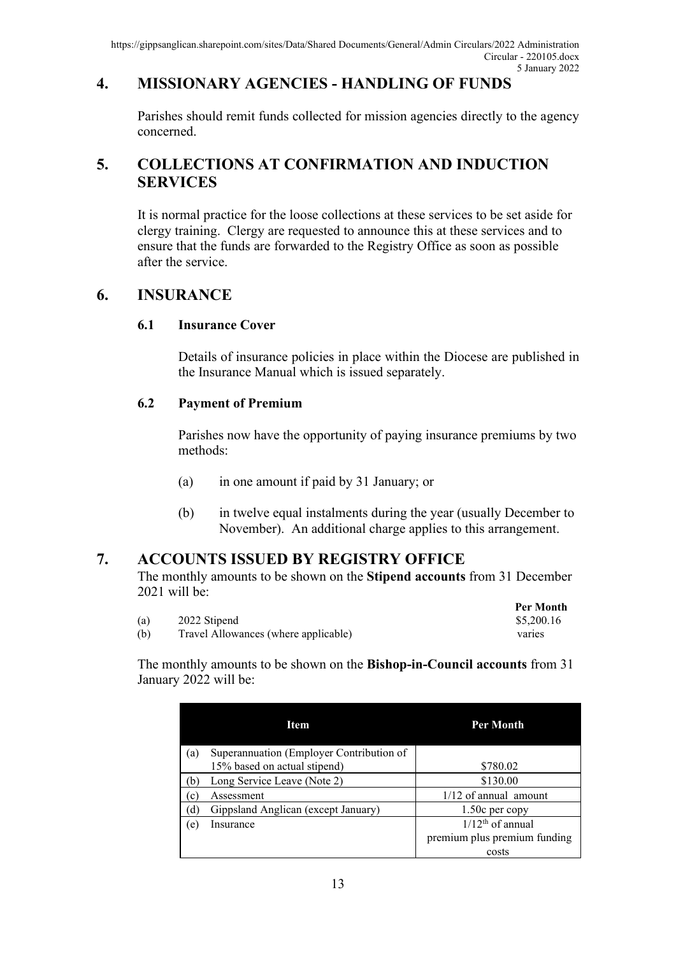## **4. MISSIONARY AGENCIES - HANDLING OF FUNDS**

Parishes should remit funds collected for mission agencies directly to the agency concerned.

## **5. COLLECTIONS AT CONFIRMATION AND INDUCTION SERVICES**

It is normal practice for the loose collections at these services to be set aside for clergy training. Clergy are requested to announce this at these services and to ensure that the funds are forwarded to the Registry Office as soon as possible after the service.

### **6. INSURANCE**

#### **6.1 Insurance Cover**

Details of insurance policies in place within the Diocese are published in the Insurance Manual which is issued separately.

#### **6.2 Payment of Premium**

Parishes now have the opportunity of paying insurance premiums by two methods:

- (a) in one amount if paid by 31 January; or
- (b) in twelve equal instalments during the year (usually December to November). An additional charge applies to this arrangement.

### **7. ACCOUNTS ISSUED BY REGISTRY OFFICE**

The monthly amounts to be shown on the **Stipend accounts** from 31 December 2021 will be: **Per Month**

|     |                                      | Per Month  |
|-----|--------------------------------------|------------|
| (a) | 2022 Stipend                         | \$5,200.16 |
| (b) | Travel Allowances (where applicable) | varies     |

The monthly amounts to be shown on the **Bishop-in-Council accounts** from 31 January 2022 will be:

|              | Item                                     | Per Month                    |
|--------------|------------------------------------------|------------------------------|
| $\alpha$     | Superannuation (Employer Contribution of |                              |
|              | 15% based on actual stipend)             | \$780.02                     |
|              | Long Service Leave (Note 2)              | \$130.00                     |
| $\mathbf{c}$ | Assessment                               | $1/12$ of annual amount      |
|              | Gippsland Anglican (except January)      | $1.50c$ per copy             |
| e            | Insurance                                | $1/12th$ of annual           |
|              |                                          | premium plus premium funding |
|              |                                          | costs                        |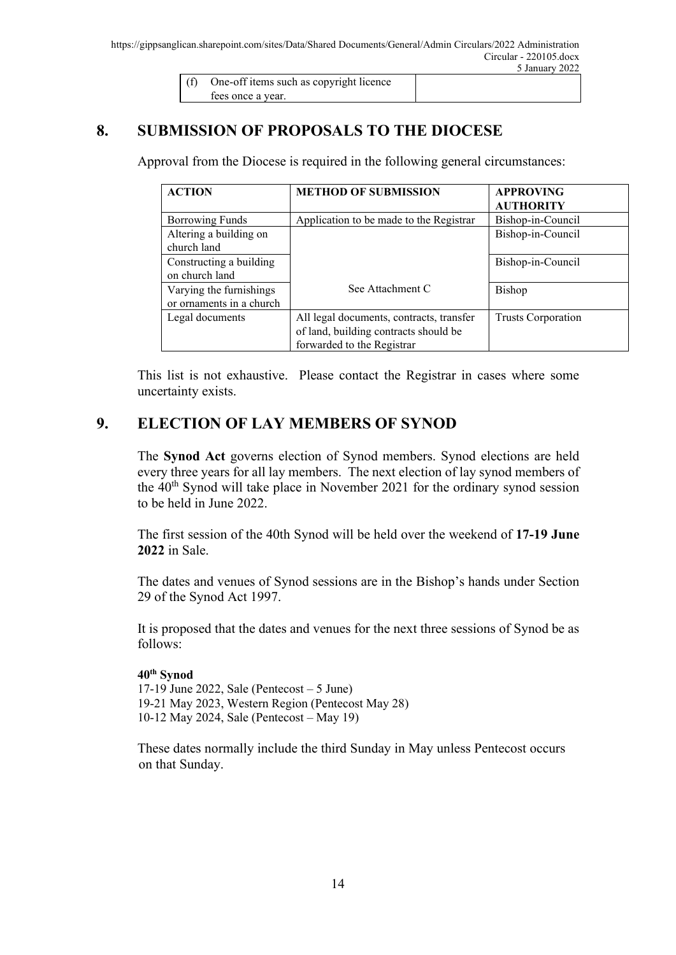| (f) One-off items such as copyright licence |  |
|---------------------------------------------|--|
| tees once a year.                           |  |

## **8. SUBMISSION OF PROPOSALS TO THE DIOCESE**

Approval from the Diocese is required in the following general circumstances:

| <b>ACTION</b>            | <b>METHOD OF SUBMISSION</b>              | <b>APPROVING</b>          |
|--------------------------|------------------------------------------|---------------------------|
|                          |                                          | <b>AUTHORITY</b>          |
| <b>Borrowing Funds</b>   | Application to be made to the Registrar  | Bishop-in-Council         |
| Altering a building on   |                                          | Bishop-in-Council         |
| church land              |                                          |                           |
| Constructing a building  |                                          | Bishop-in-Council         |
| on church land           |                                          |                           |
| Varying the furnishings  | See Attachment C                         | Bishop                    |
| or ornaments in a church |                                          |                           |
| Legal documents          | All legal documents, contracts, transfer | <b>Trusts Corporation</b> |
|                          | of land, building contracts should be    |                           |
|                          | forwarded to the Registrar               |                           |

This list is not exhaustive. Please contact the Registrar in cases where some uncertainty exists.

### **9. ELECTION OF LAY MEMBERS OF SYNOD**

The **Synod Act** governs election of Synod members. Synod elections are held every three years for all lay members. The next election of lay synod members of the 40<sup>th</sup> Synod will take place in November 2021 for the ordinary synod session to be held in June 2022.

The first session of the 40th Synod will be held over the weekend of **17-19 June 2022** in Sale.

The dates and venues of Synod sessions are in the Bishop's hands under Section 29 of the Synod Act 1997.

It is proposed that the dates and venues for the next three sessions of Synod be as follows:

#### **40th Synod**

17-19 June 2022, Sale (Pentecost  $-5$  June) 19-21 May 2023, Western Region (Pentecost May 28) 10-12 May 2024, Sale (Pentecost – May 19)

These dates normally include the third Sunday in May unless Pentecost occurs on that Sunday.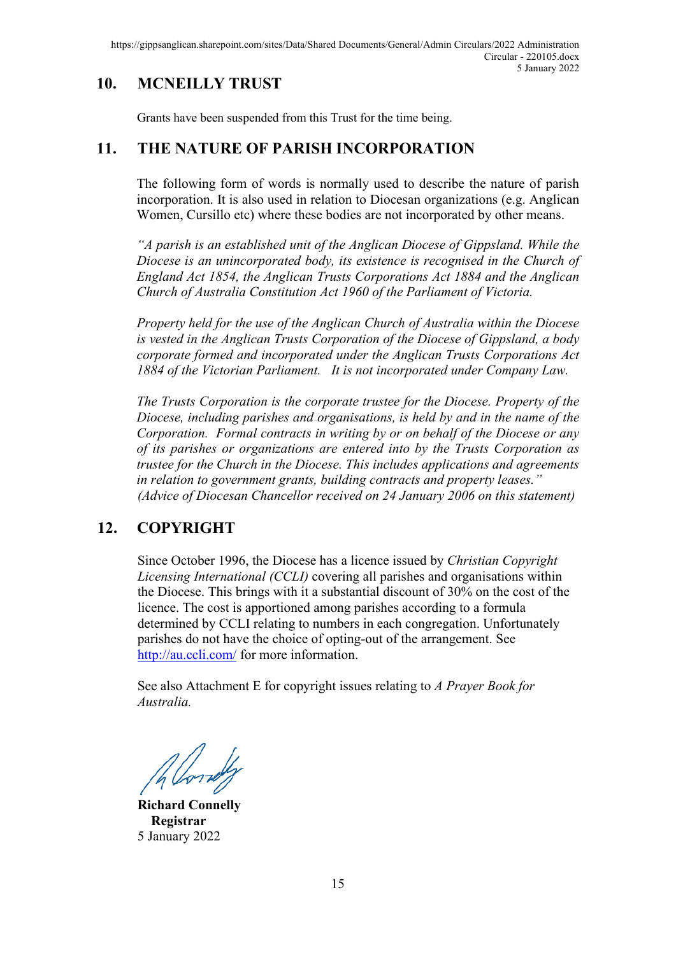## **10. MCNEILLY TRUST**

Grants have been suspended from this Trust for the time being.

## **11. THE NATURE OF PARISH INCORPORATION**

The following form of words is normally used to describe the nature of parish incorporation. It is also used in relation to Diocesan organizations (e.g. Anglican Women, Cursillo etc) where these bodies are not incorporated by other means.

*"A parish is an established unit of the Anglican Diocese of Gippsland. While the Diocese is an unincorporated body, its existence is recognised in the Church of England Act 1854, the Anglican Trusts Corporations Act 1884 and the Anglican Church of Australia Constitution Act 1960 of the Parliament of Victoria.* 

*Property held for the use of the Anglican Church of Australia within the Diocese is vested in the Anglican Trusts Corporation of the Diocese of Gippsland, a body corporate formed and incorporated under the Anglican Trusts Corporations Act 1884 of the Victorian Parliament. It is not incorporated under Company Law.*

*The Trusts Corporation is the corporate trustee for the Diocese. Property of the Diocese, including parishes and organisations, is held by and in the name of the Corporation. Formal contracts in writing by or on behalf of the Diocese or any of its parishes or organizations are entered into by the Trusts Corporation as trustee for the Church in the Diocese. This includes applications and agreements in relation to government grants, building contracts and property leases." (Advice of Diocesan Chancellor received on 24 January 2006 on this statement)*

## **12. COPYRIGHT**

Since October 1996, the Diocese has a licence issued by *Christian Copyright Licensing International (CCLI)* covering all parishes and organisations within the Diocese. This brings with it a substantial discount of 30% on the cost of the licence. The cost is apportioned among parishes according to a formula determined by CCLI relating to numbers in each congregation. Unfortunately parishes do not have the choice of opting-out of the arrangement. See <http://au.ccli.com/> for more information.

See also Attachment E for copyright issues relating to *A Prayer Book for Australia.*

**Richard Connelly Registrar** 5 January 2022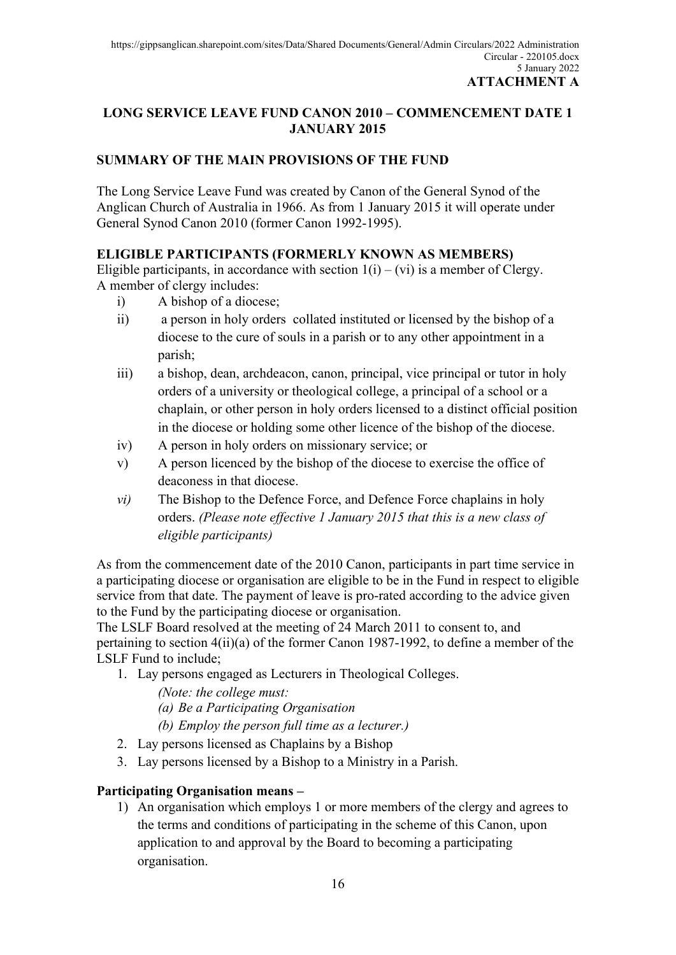### **LONG SERVICE LEAVE FUND CANON 2010 – COMMENCEMENT DATE 1 JANUARY 2015**

### **SUMMARY OF THE MAIN PROVISIONS OF THE FUND**

The Long Service Leave Fund was created by Canon of the General Synod of the Anglican Church of Australia in 1966. As from 1 January 2015 it will operate under General Synod Canon 2010 (former Canon 1992-1995).

#### **ELIGIBLE PARTICIPANTS (FORMERLY KNOWN AS MEMBERS)**

Eligible participants, in accordance with section  $1(i) - (vi)$  is a member of Clergy. A member of clergy includes:

- i) A bishop of a diocese;
- ii) a person in holy orders collated instituted or licensed by the bishop of a diocese to the cure of souls in a parish or to any other appointment in a parish;
- iii) a bishop, dean, archdeacon, canon, principal, vice principal or tutor in holy orders of a university or theological college, a principal of a school or a chaplain, or other person in holy orders licensed to a distinct official position in the diocese or holding some other licence of the bishop of the diocese.
- iv) A person in holy orders on missionary service; or
- v) A person licenced by the bishop of the diocese to exercise the office of deaconess in that diocese.
- *vi)* The Bishop to the Defence Force, and Defence Force chaplains in holy orders. *(Please note effective 1 January 2015 that this is a new class of eligible participants)*

As from the commencement date of the 2010 Canon, participants in part time service in a participating diocese or organisation are eligible to be in the Fund in respect to eligible service from that date. The payment of leave is pro-rated according to the advice given to the Fund by the participating diocese or organisation.

The LSLF Board resolved at the meeting of 24 March 2011 to consent to, and pertaining to section 4(ii)(a) of the former Canon 1987-1992, to define a member of the LSLF Fund to include;

1. Lay persons engaged as Lecturers in Theological Colleges.

*(Note: the college must:*

*(a) Be a Participating Organisation*

- *(b) Employ the person full time as a lecturer.)*
- 2. Lay persons licensed as Chaplains by a Bishop
- 3. Lay persons licensed by a Bishop to a Ministry in a Parish.

### **Participating Organisation means –**

1) An organisation which employs 1 or more members of the clergy and agrees to the terms and conditions of participating in the scheme of this Canon, upon application to and approval by the Board to becoming a participating organisation.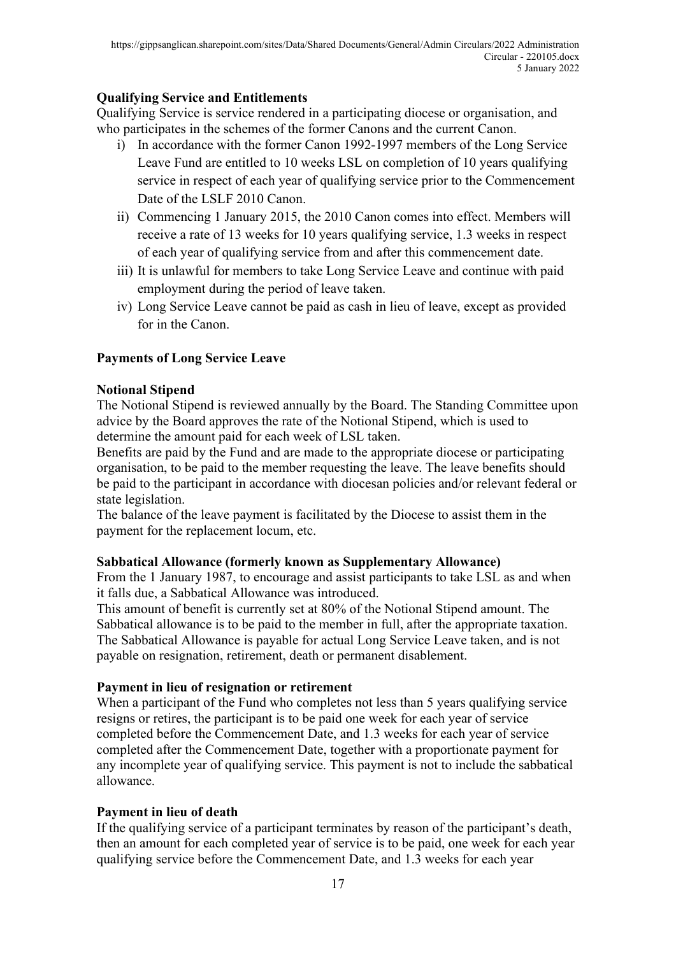#### **Qualifying Service and Entitlements**

Qualifying Service is service rendered in a participating diocese or organisation, and who participates in the schemes of the former Canons and the current Canon.

- i) In accordance with the former Canon 1992-1997 members of the Long Service Leave Fund are entitled to 10 weeks LSL on completion of 10 years qualifying service in respect of each year of qualifying service prior to the Commencement Date of the LSLF 2010 Canon.
- ii) Commencing 1 January 2015, the 2010 Canon comes into effect. Members will receive a rate of 13 weeks for 10 years qualifying service, 1.3 weeks in respect of each year of qualifying service from and after this commencement date.
- iii) It is unlawful for members to take Long Service Leave and continue with paid employment during the period of leave taken.
- iv) Long Service Leave cannot be paid as cash in lieu of leave, except as provided for in the Canon.

#### **Payments of Long Service Leave**

#### **Notional Stipend**

The Notional Stipend is reviewed annually by the Board. The Standing Committee upon advice by the Board approves the rate of the Notional Stipend, which is used to determine the amount paid for each week of LSL taken.

Benefits are paid by the Fund and are made to the appropriate diocese or participating organisation, to be paid to the member requesting the leave. The leave benefits should be paid to the participant in accordance with diocesan policies and/or relevant federal or state legislation.

The balance of the leave payment is facilitated by the Diocese to assist them in the payment for the replacement locum, etc.

#### **Sabbatical Allowance (formerly known as Supplementary Allowance)**

From the 1 January 1987, to encourage and assist participants to take LSL as and when it falls due, a Sabbatical Allowance was introduced.

This amount of benefit is currently set at 80% of the Notional Stipend amount. The Sabbatical allowance is to be paid to the member in full, after the appropriate taxation. The Sabbatical Allowance is payable for actual Long Service Leave taken, and is not payable on resignation, retirement, death or permanent disablement.

#### **Payment in lieu of resignation or retirement**

When a participant of the Fund who completes not less than 5 years qualifying service resigns or retires, the participant is to be paid one week for each year of service completed before the Commencement Date, and 1.3 weeks for each year of service completed after the Commencement Date, together with a proportionate payment for any incomplete year of qualifying service. This payment is not to include the sabbatical allowance.

#### **Payment in lieu of death**

If the qualifying service of a participant terminates by reason of the participant's death, then an amount for each completed year of service is to be paid, one week for each year qualifying service before the Commencement Date, and 1.3 weeks for each year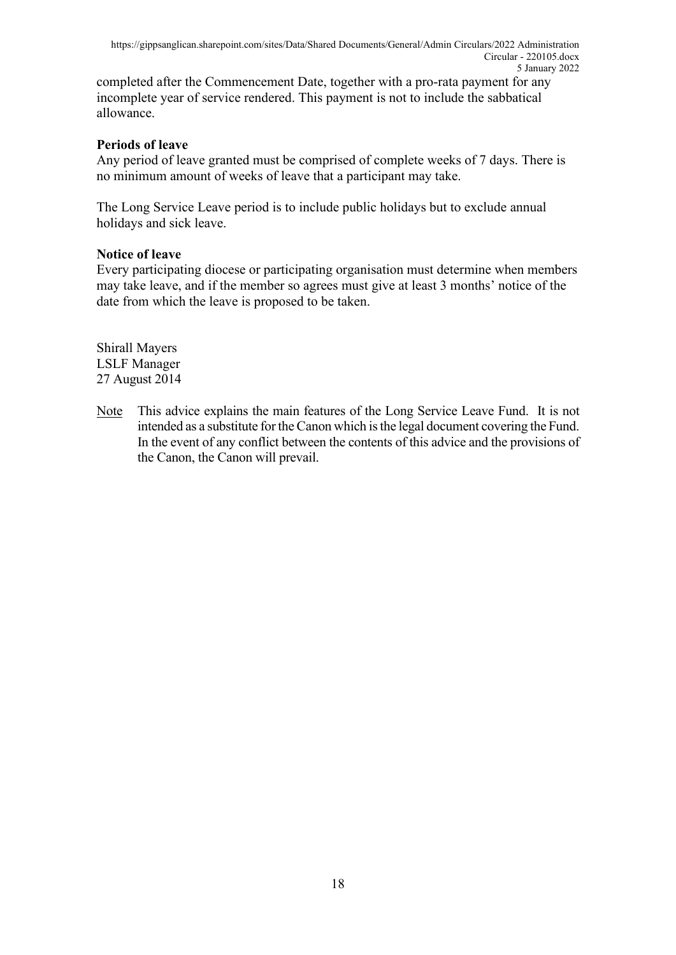completed after the Commencement Date, together with a pro-rata payment for any incomplete year of service rendered. This payment is not to include the sabbatical allowance.

#### **Periods of leave**

Any period of leave granted must be comprised of complete weeks of 7 days. There is no minimum amount of weeks of leave that a participant may take.

The Long Service Leave period is to include public holidays but to exclude annual holidays and sick leave.

#### **Notice of leave**

Every participating diocese or participating organisation must determine when members may take leave, and if the member so agrees must give at least 3 months' notice of the date from which the leave is proposed to be taken.

Shirall Mayers LSLF Manager 27 August 2014

Note This advice explains the main features of the Long Service Leave Fund. It is not intended as a substitute for the Canon which is the legal document covering the Fund. In the event of any conflict between the contents of this advice and the provisions of the Canon, the Canon will prevail.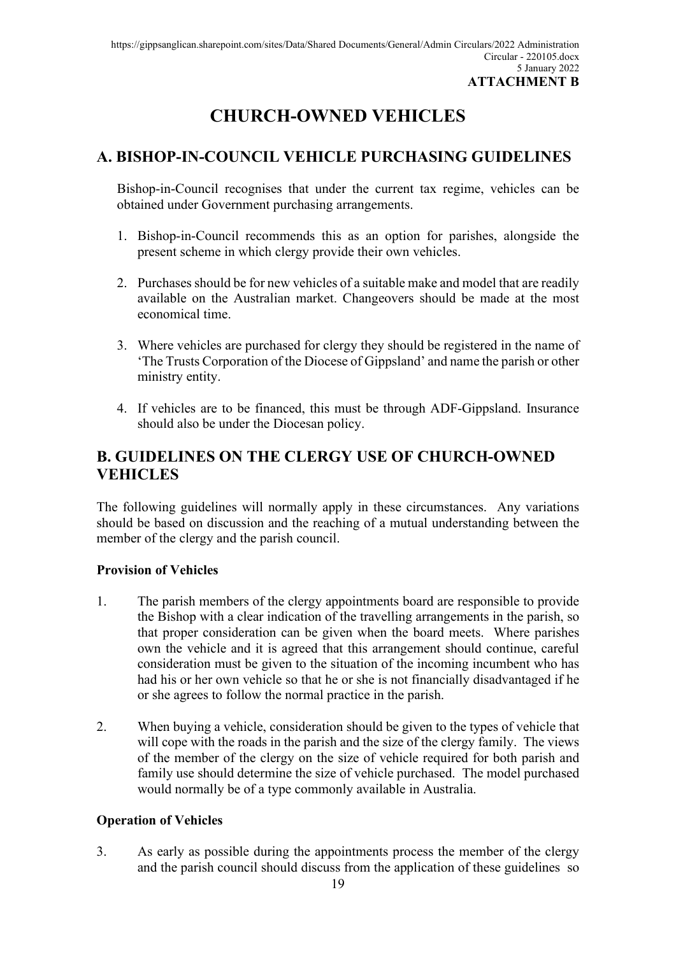# **CHURCH-OWNED VEHICLES**

## **A. BISHOP-IN-COUNCIL VEHICLE PURCHASING GUIDELINES**

Bishop-in-Council recognises that under the current tax regime, vehicles can be obtained under Government purchasing arrangements.

- 1. Bishop-in-Council recommends this as an option for parishes, alongside the present scheme in which clergy provide their own vehicles.
- 2. Purchases should be for new vehicles of a suitable make and model that are readily available on the Australian market. Changeovers should be made at the most economical time.
- 3. Where vehicles are purchased for clergy they should be registered in the name of 'The Trusts Corporation of the Diocese of Gippsland' and name the parish or other ministry entity.
- 4. If vehicles are to be financed, this must be through ADF-Gippsland. Insurance should also be under the Diocesan policy.

## **B. GUIDELINES ON THE CLERGY USE OF CHURCH-OWNED VEHICLES**

The following guidelines will normally apply in these circumstances. Any variations should be based on discussion and the reaching of a mutual understanding between the member of the clergy and the parish council.

#### **Provision of Vehicles**

- 1. The parish members of the clergy appointments board are responsible to provide the Bishop with a clear indication of the travelling arrangements in the parish, so that proper consideration can be given when the board meets. Where parishes own the vehicle and it is agreed that this arrangement should continue, careful consideration must be given to the situation of the incoming incumbent who has had his or her own vehicle so that he or she is not financially disadvantaged if he or she agrees to follow the normal practice in the parish.
- 2. When buying a vehicle, consideration should be given to the types of vehicle that will cope with the roads in the parish and the size of the clergy family. The views of the member of the clergy on the size of vehicle required for both parish and family use should determine the size of vehicle purchased. The model purchased would normally be of a type commonly available in Australia.

#### **Operation of Vehicles**

3. As early as possible during the appointments process the member of the clergy and the parish council should discuss from the application of these guidelines so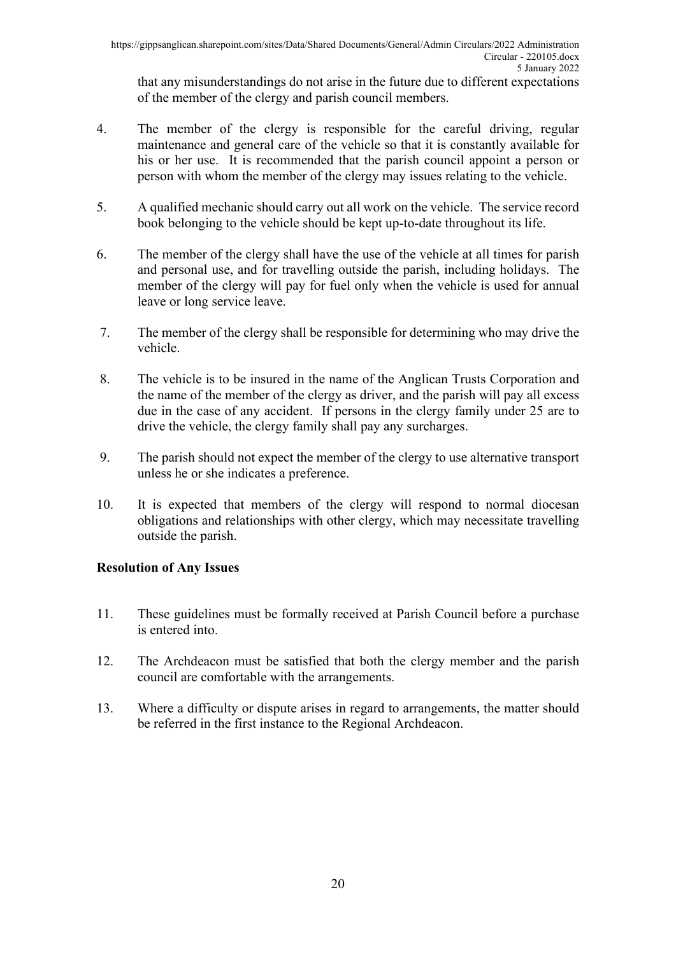that any misunderstandings do not arise in the future due to different expectations of the member of the clergy and parish council members.

- 4. The member of the clergy is responsible for the careful driving, regular maintenance and general care of the vehicle so that it is constantly available for his or her use. It is recommended that the parish council appoint a person or person with whom the member of the clergy may issues relating to the vehicle.
- 5. A qualified mechanic should carry out all work on the vehicle. The service record book belonging to the vehicle should be kept up-to-date throughout its life.
- 6. The member of the clergy shall have the use of the vehicle at all times for parish and personal use, and for travelling outside the parish, including holidays. The member of the clergy will pay for fuel only when the vehicle is used for annual leave or long service leave.
- 7. The member of the clergy shall be responsible for determining who may drive the vehicle.
- 8. The vehicle is to be insured in the name of the Anglican Trusts Corporation and the name of the member of the clergy as driver, and the parish will pay all excess due in the case of any accident. If persons in the clergy family under 25 are to drive the vehicle, the clergy family shall pay any surcharges.
- 9. The parish should not expect the member of the clergy to use alternative transport unless he or she indicates a preference.
- 10. It is expected that members of the clergy will respond to normal diocesan obligations and relationships with other clergy, which may necessitate travelling outside the parish.

### **Resolution of Any Issues**

- 11. These guidelines must be formally received at Parish Council before a purchase is entered into.
- 12. The Archdeacon must be satisfied that both the clergy member and the parish council are comfortable with the arrangements.
- 13. Where a difficulty or dispute arises in regard to arrangements, the matter should be referred in the first instance to the Regional Archdeacon.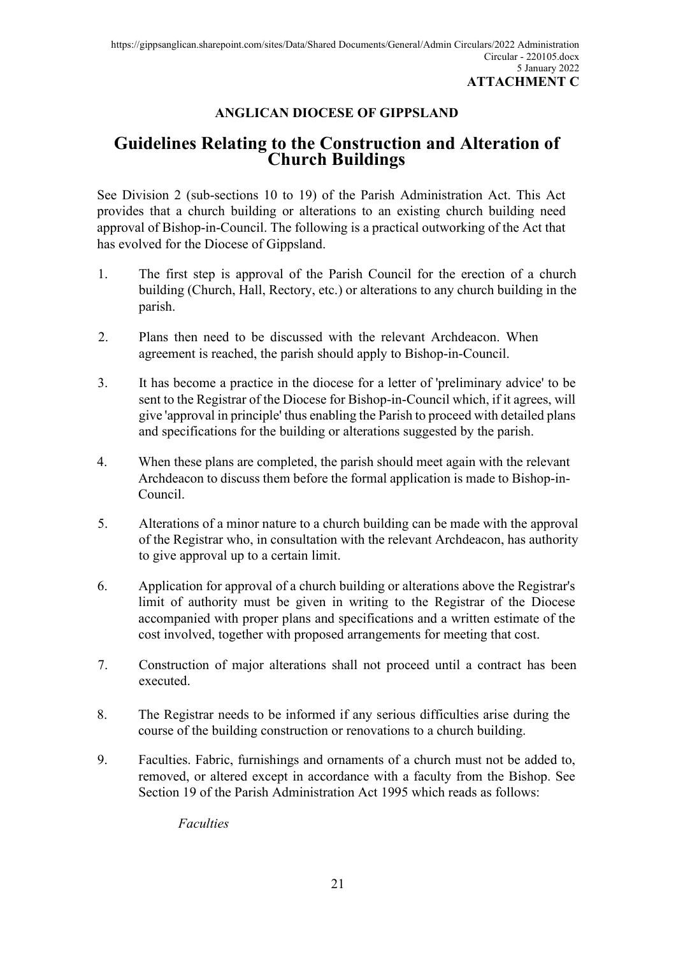### **ANGLICAN DIOCESE OF GIPPSLAND**

## **Guidelines Relating to the Construction and Alteration of Church Buildings**

See Division 2 (sub-sections 10 to 19) of the Parish Administration Act. This Act provides that a church building or alterations to an existing church building need approval of Bishop-in-Council. The following is a practical outworking of the Act that has evolved for the Diocese of Gippsland.

- 1. The first step is approval of the Parish Council for the erection of a church building (Church, Hall, Rectory, etc.) or alterations to any church building in the parish.
- 2. Plans then need to be discussed with the relevant Archdeacon. When agreement is reached, the parish should apply to Bishop-in-Council.
- 3. It has become a practice in the diocese for a letter of 'preliminary advice' to be sent to the Registrar of the Diocese for Bishop-in-Council which, if it agrees, will give 'approval in principle' thus enabling the Parish to proceed with detailed plans and specifications for the building or alterations suggested by the parish.
- 4. When these plans are completed, the parish should meet again with the relevant Archdeacon to discuss them before the formal application is made to Bishop-in-Council.
- 5. Alterations of a minor nature to a church building can be made with the approval of the Registrar who, in consultation with the relevant Archdeacon, has authority to give approval up to a certain limit.
- 6. Application for approval of a church building or alterations above the Registrar's limit of authority must be given in writing to the Registrar of the Diocese accompanied with proper plans and specifications and a written estimate of the cost involved, together with proposed arrangements for meeting that cost.
- 7. Construction of major alterations shall not proceed until a contract has been executed.
- 8. The Registrar needs to be informed if any serious difficulties arise during the course of the building construction or renovations to a church building.
- 9. Faculties. Fabric, furnishings and ornaments of a church must not be added to, removed, or altered except in accordance with a faculty from the Bishop. See Section 19 of the Parish Administration Act 1995 which reads as follows:

*Faculties*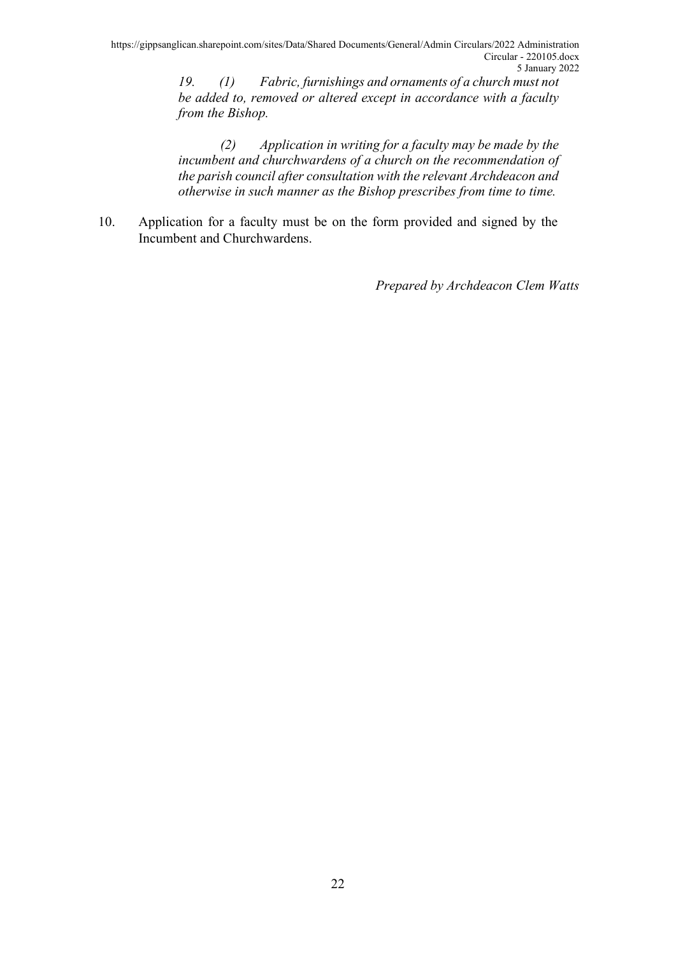*19. (1) Fabric, furnishings and ornaments of a church must not be added to, removed or altered except in accordance with a faculty from the Bishop.*

*(2) Application in writing for a faculty may be made by the incumbent and churchwardens of a church on the recommendation of the parish council after consultation with the relevant Archdeacon and otherwise in such manner as the Bishop prescribes from time to time.*

10. Application for a faculty must be on the form provided and signed by the Incumbent and Churchwardens.

*Prepared by Archdeacon Clem Watts*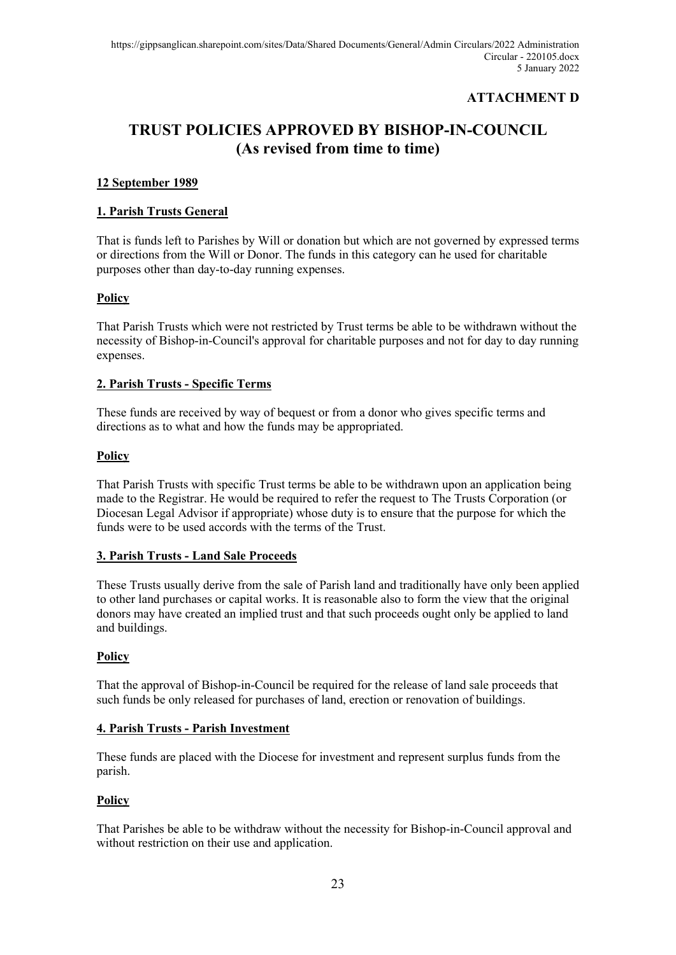### **ATTACHMENT D**

## **TRUST POLICIES APPROVED BY BISHOP-IN-COUNCIL (As revised from time to time)**

#### **12 September 1989**

#### **1. Parish Trusts General**

That is funds left to Parishes by Will or donation but which are not governed by expressed terms or directions from the Will or Donor. The funds in this category can he used for charitable purposes other than day-to-day running expenses.

#### **Policy**

That Parish Trusts which were not restricted by Trust terms be able to be withdrawn without the necessity of Bishop-in-Council's approval for charitable purposes and not for day to day running expenses.

#### **2. Parish Trusts - Specific Terms**

These funds are received by way of bequest or from a donor who gives specific terms and directions as to what and how the funds may be appropriated.

#### **Policy**

That Parish Trusts with specific Trust terms be able to be withdrawn upon an application being made to the Registrar. He would be required to refer the request to The Trusts Corporation (or Diocesan Legal Advisor if appropriate) whose duty is to ensure that the purpose for which the funds were to be used accords with the terms of the Trust.

#### **3. Parish Trusts - Land Sale Proceeds**

These Trusts usually derive from the sale of Parish land and traditionally have only been applied to other land purchases or capital works. It is reasonable also to form the view that the original donors may have created an implied trust and that such proceeds ought only be applied to land and buildings.

#### **Policy**

That the approval of Bishop-in-Council be required for the release of land sale proceeds that such funds be only released for purchases of land, erection or renovation of buildings.

#### **4. Parish Trusts - Parish Investment**

These funds are placed with the Diocese for investment and represent surplus funds from the parish.

#### **Policy**

That Parishes be able to be withdraw without the necessity for Bishop-in-Council approval and without restriction on their use and application.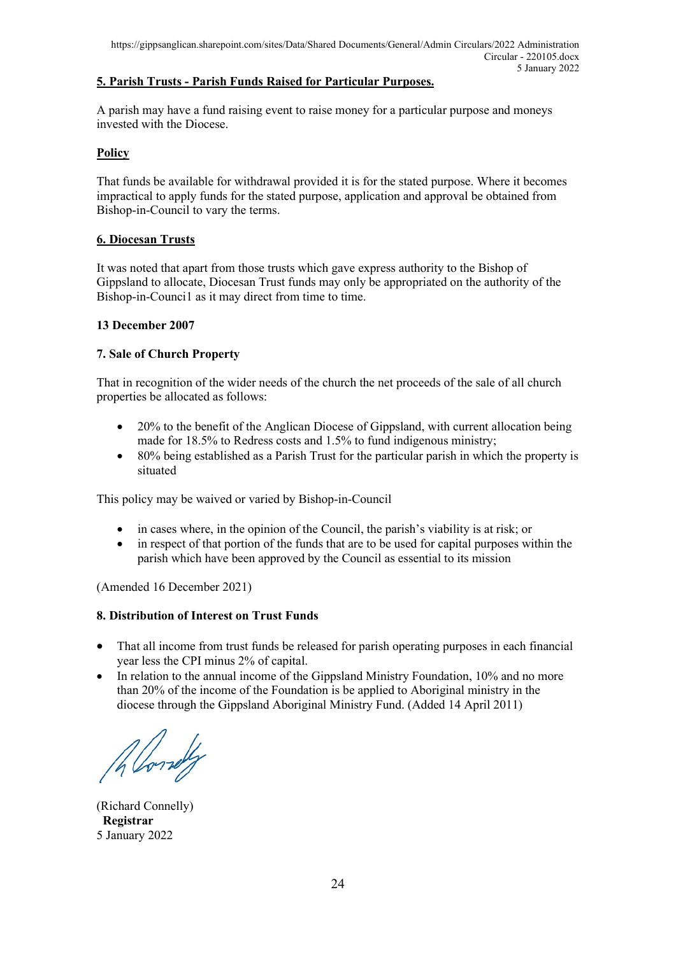#### **5. Parish Trusts - Parish Funds Raised for Particular Purposes.**

A parish may have a fund raising event to raise money for a particular purpose and moneys invested with the Diocese.

#### **Policy**

That funds be available for withdrawal provided it is for the stated purpose. Where it becomes impractical to apply funds for the stated purpose, application and approval be obtained from Bishop-in-Council to vary the terms.

#### **6. Diocesan Trusts**

It was noted that apart from those trusts which gave express authority to the Bishop of Gippsland to allocate, Diocesan Trust funds may only be appropriated on the authority of the Bishop-in-Counci1 as it may direct from time to time.

#### **13 December 2007**

#### **7. Sale of Church Property**

That in recognition of the wider needs of the church the net proceeds of the sale of all church properties be allocated as follows:

- 20% to the benefit of the Anglican Diocese of Gippsland, with current allocation being made for 18.5% to Redress costs and 1.5% to fund indigenous ministry;
- 80% being established as a Parish Trust for the particular parish in which the property is situated

This policy may be waived or varied by Bishop-in-Council

- in cases where, in the opinion of the Council, the parish's viability is at risk; or
- in respect of that portion of the funds that are to be used for capital purposes within the parish which have been approved by the Council as essential to its mission

(Amended 16 December 2021)

#### **8. Distribution of Interest on Trust Funds**

- That all income from trust funds be released for parish operating purposes in each financial year less the CPI minus 2% of capital.
- In relation to the annual income of the Gippsland Ministry Foundation, 10% and no more than 20% of the income of the Foundation is be applied to Aboriginal ministry in the diocese through the Gippsland Aboriginal Ministry Fund. (Added 14 April 2011)

Allowely

(Richard Connelly) **Registrar** 5 January 2022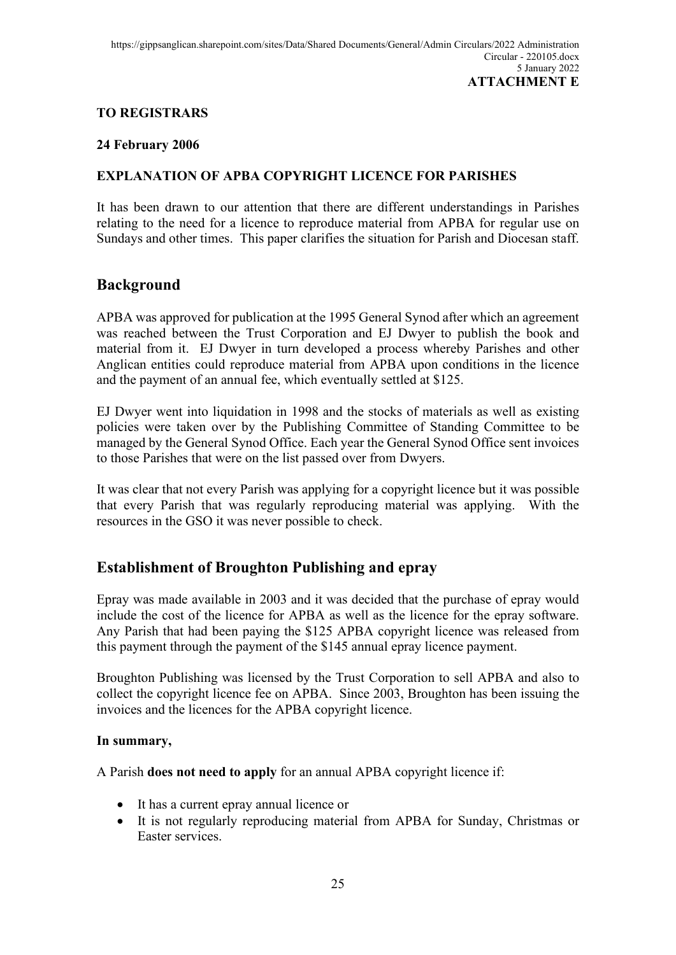### **TO REGISTRARS**

#### **24 February 2006**

#### **EXPLANATION OF APBA COPYRIGHT LICENCE FOR PARISHES**

It has been drawn to our attention that there are different understandings in Parishes relating to the need for a licence to reproduce material from APBA for regular use on Sundays and other times. This paper clarifies the situation for Parish and Diocesan staff.

### **Background**

APBA was approved for publication at the 1995 General Synod after which an agreement was reached between the Trust Corporation and EJ Dwyer to publish the book and material from it. EJ Dwyer in turn developed a process whereby Parishes and other Anglican entities could reproduce material from APBA upon conditions in the licence and the payment of an annual fee, which eventually settled at \$125.

EJ Dwyer went into liquidation in 1998 and the stocks of materials as well as existing policies were taken over by the Publishing Committee of Standing Committee to be managed by the General Synod Office. Each year the General Synod Office sent invoices to those Parishes that were on the list passed over from Dwyers.

It was clear that not every Parish was applying for a copyright licence but it was possible that every Parish that was regularly reproducing material was applying. With the resources in the GSO it was never possible to check.

### **Establishment of Broughton Publishing and epray**

Epray was made available in 2003 and it was decided that the purchase of epray would include the cost of the licence for APBA as well as the licence for the epray software. Any Parish that had been paying the \$125 APBA copyright licence was released from this payment through the payment of the \$145 annual epray licence payment.

Broughton Publishing was licensed by the Trust Corporation to sell APBA and also to collect the copyright licence fee on APBA. Since 2003, Broughton has been issuing the invoices and the licences for the APBA copyright licence.

#### **In summary,**

A Parish **does not need to apply** for an annual APBA copyright licence if:

- It has a current epray annual licence or
- It is not regularly reproducing material from APBA for Sunday, Christmas or Easter services.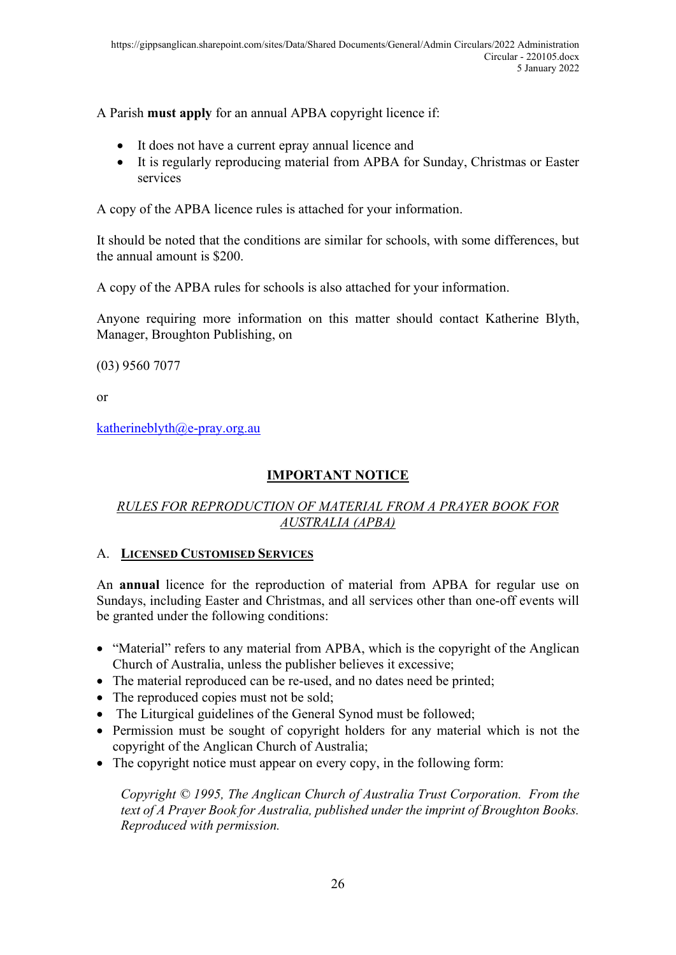A Parish **must apply** for an annual APBA copyright licence if:

- It does not have a current epray annual licence and
- It is regularly reproducing material from APBA for Sunday, Christmas or Easter services

A copy of the APBA licence rules is attached for your information.

It should be noted that the conditions are similar for schools, with some differences, but the annual amount is \$200.

A copy of the APBA rules for schools is also attached for your information.

Anyone requiring more information on this matter should contact Katherine Blyth, Manager, Broughton Publishing, on

(03) 9560 7077

or

[katherineblyth@e-pray.org.au](mailto:katherineblyth@e-pray.org.au)

## **IMPORTANT NOTICE**

### *RULES FOR REPRODUCTION OF MATERIAL FROM A PRAYER BOOK FOR AUSTRALIA (APBA)*

### A. **LICENSED CUSTOMISED SERVICES**

An **annual** licence for the reproduction of material from APBA for regular use on Sundays, including Easter and Christmas, and all services other than one-off events will be granted under the following conditions:

- "Material" refers to any material from APBA, which is the copyright of the Anglican Church of Australia, unless the publisher believes it excessive;
- The material reproduced can be re-used, and no dates need be printed;
- The reproduced copies must not be sold;
- The Liturgical guidelines of the General Synod must be followed;
- Permission must be sought of copyright holders for any material which is not the copyright of the Anglican Church of Australia;
- The copyright notice must appear on every copy, in the following form:

*Copyright © 1995, The Anglican Church of Australia Trust Corporation. From the text of A Prayer Book for Australia, published under the imprint of Broughton Books. Reproduced with permission.*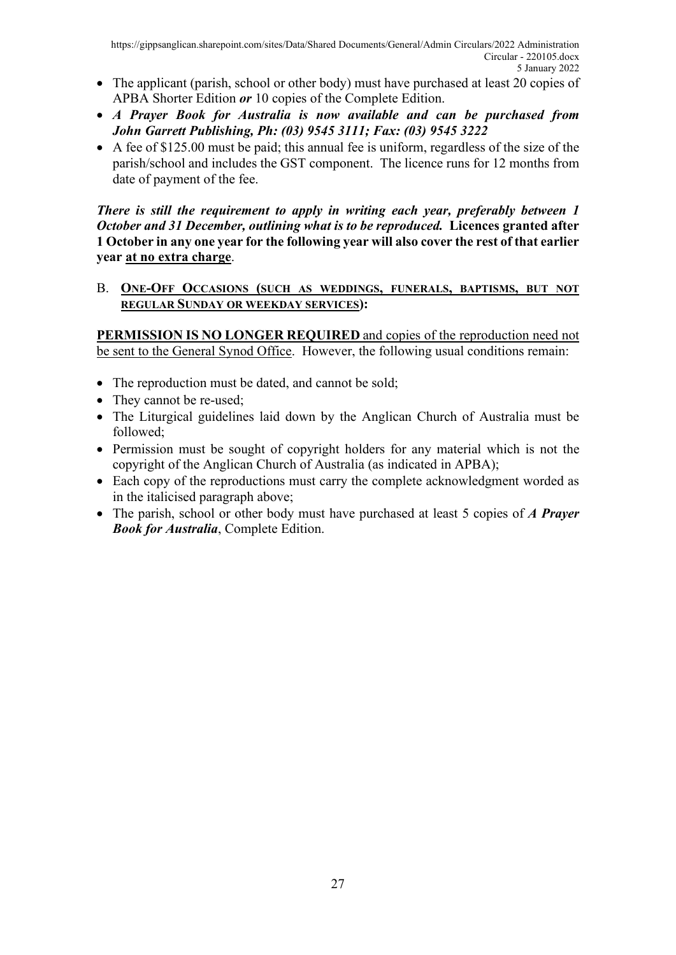- The applicant (parish, school or other body) must have purchased at least 20 copies of APBA Shorter Edition *or* 10 copies of the Complete Edition.
- *A Prayer Book for Australia is now available and can be purchased from John Garrett Publishing, Ph: (03) 9545 3111; Fax: (03) 9545 3222*
- A fee of \$125.00 must be paid; this annual fee is uniform, regardless of the size of the parish/school and includes the GST component. The licence runs for 12 months from date of payment of the fee.

*There is still the requirement to apply in writing each year, preferably between 1 October and 31 December, outlining what is to be reproduced.* **Licences granted after 1 October in any one year for the following year will also cover the rest of that earlier year at no extra charge**.

#### B. **ONE-OFF OCCASIONS (SUCH AS WEDDINGS, FUNERALS, BAPTISMS, BUT NOT REGULAR SUNDAY OR WEEKDAY SERVICES):**

**PERMISSION IS NO LONGER REQUIRED** and copies of the reproduction need not be sent to the General Synod Office. However, the following usual conditions remain:

- The reproduction must be dated, and cannot be sold;
- They cannot be re-used;
- The Liturgical guidelines laid down by the Anglican Church of Australia must be followed;
- Permission must be sought of copyright holders for any material which is not the copyright of the Anglican Church of Australia (as indicated in APBA);
- Each copy of the reproductions must carry the complete acknowledgment worded as in the italicised paragraph above;
- The parish, school or other body must have purchased at least 5 copies of *A Prayer Book for Australia*, Complete Edition.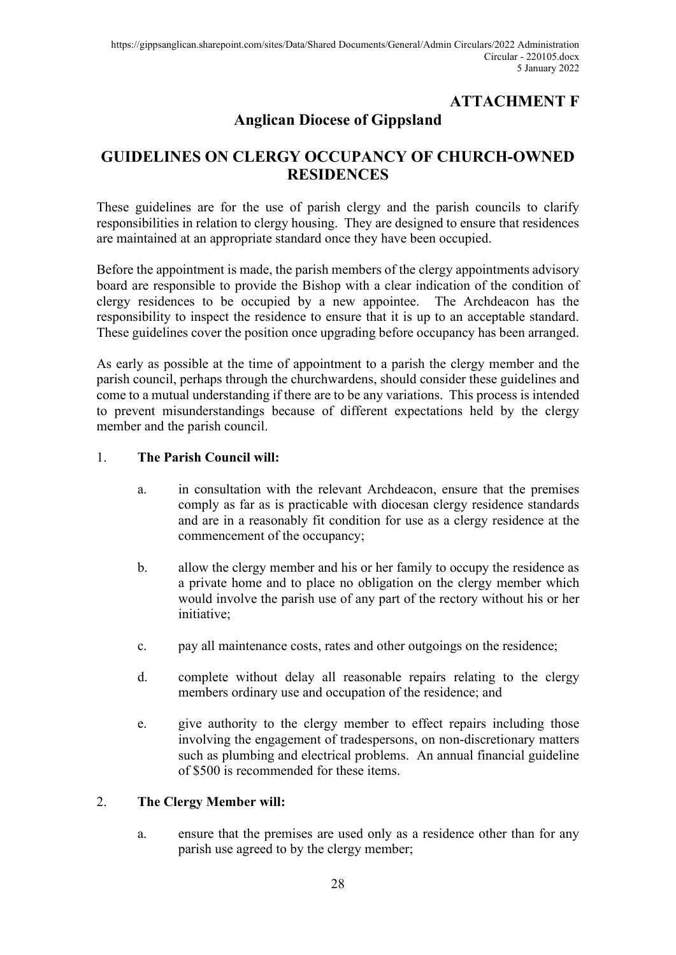## **ATTACHMENT F**

## **Anglican Diocese of Gippsland**

## **GUIDELINES ON CLERGY OCCUPANCY OF CHURCH-OWNED RESIDENCES**

These guidelines are for the use of parish clergy and the parish councils to clarify responsibilities in relation to clergy housing. They are designed to ensure that residences are maintained at an appropriate standard once they have been occupied.

Before the appointment is made, the parish members of the clergy appointments advisory board are responsible to provide the Bishop with a clear indication of the condition of clergy residences to be occupied by a new appointee. The Archdeacon has the responsibility to inspect the residence to ensure that it is up to an acceptable standard. These guidelines cover the position once upgrading before occupancy has been arranged.

As early as possible at the time of appointment to a parish the clergy member and the parish council, perhaps through the churchwardens, should consider these guidelines and come to a mutual understanding if there are to be any variations. This process is intended to prevent misunderstandings because of different expectations held by the clergy member and the parish council.

#### 1. **The Parish Council will:**

- a. in consultation with the relevant Archdeacon, ensure that the premises comply as far as is practicable with diocesan clergy residence standards and are in a reasonably fit condition for use as a clergy residence at the commencement of the occupancy;
- b. allow the clergy member and his or her family to occupy the residence as a private home and to place no obligation on the clergy member which would involve the parish use of any part of the rectory without his or her initiative;
- c. pay all maintenance costs, rates and other outgoings on the residence;
- d. complete without delay all reasonable repairs relating to the clergy members ordinary use and occupation of the residence; and
- e. give authority to the clergy member to effect repairs including those involving the engagement of tradespersons, on non-discretionary matters such as plumbing and electrical problems. An annual financial guideline of \$500 is recommended for these items.

#### 2. **The Clergy Member will:**

a. ensure that the premises are used only as a residence other than for any parish use agreed to by the clergy member;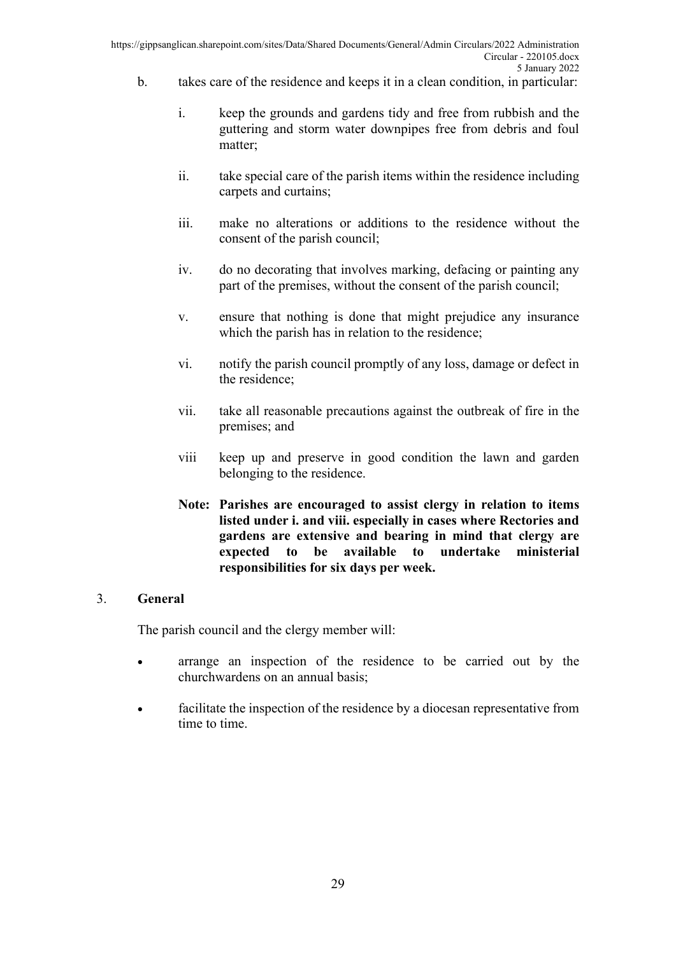- b. takes care of the residence and keeps it in a clean condition, in particular:
	- i. keep the grounds and gardens tidy and free from rubbish and the guttering and storm water downpipes free from debris and foul matter;
	- ii. take special care of the parish items within the residence including carpets and curtains;
	- iii. make no alterations or additions to the residence without the consent of the parish council;
	- iv. do no decorating that involves marking, defacing or painting any part of the premises, without the consent of the parish council;
	- v. ensure that nothing is done that might prejudice any insurance which the parish has in relation to the residence;
	- vi. notify the parish council promptly of any loss, damage or defect in the residence;
	- vii. take all reasonable precautions against the outbreak of fire in the premises; and
	- viii keep up and preserve in good condition the lawn and garden belonging to the residence.
	- **Note: Parishes are encouraged to assist clergy in relation to items listed under i. and viii. especially in cases where Rectories and gardens are extensive and bearing in mind that clergy are expected to be available to undertake ministerial responsibilities for six days per week.**

#### 3. **General**

The parish council and the clergy member will:

- arrange an inspection of the residence to be carried out by the churchwardens on an annual basis;
- facilitate the inspection of the residence by a diocesan representative from time to time.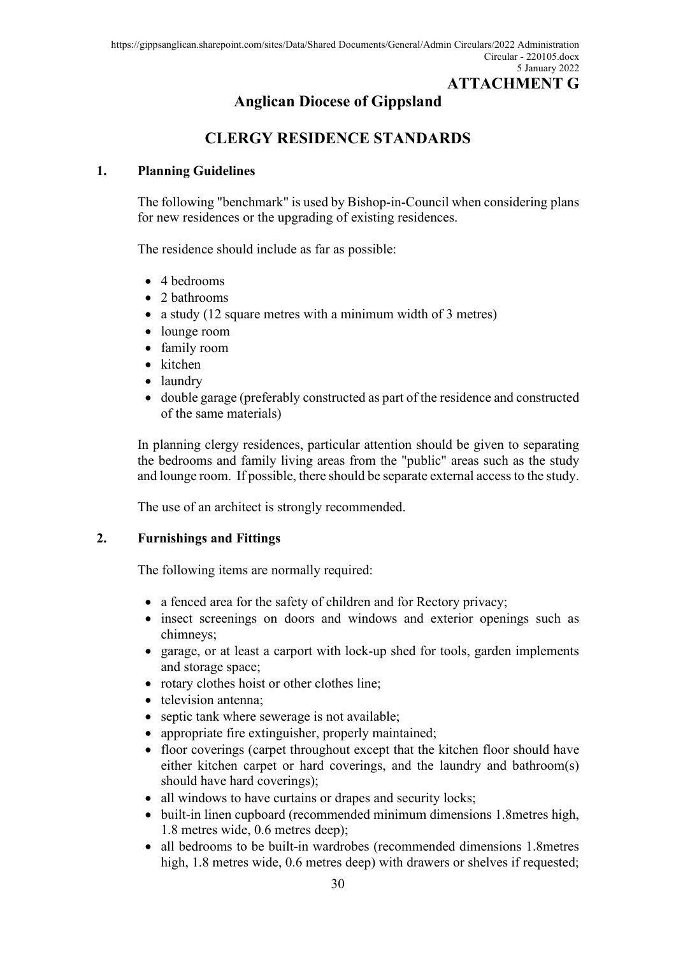## **Anglican Diocese of Gippsland**

## **CLERGY RESIDENCE STANDARDS**

#### **1. Planning Guidelines**

The following "benchmark" is used by Bishop-in-Council when considering plans for new residences or the upgrading of existing residences.

The residence should include as far as possible:

- 4 bedrooms
- 2 bathrooms
- a study (12 square metres with a minimum width of 3 metres)
- lounge room
- family room
- kitchen
- laundry
- double garage (preferably constructed as part of the residence and constructed of the same materials)

In planning clergy residences, particular attention should be given to separating the bedrooms and family living areas from the "public" areas such as the study and lounge room. If possible, there should be separate external access to the study.

The use of an architect is strongly recommended.

#### **2. Furnishings and Fittings**

The following items are normally required:

- a fenced area for the safety of children and for Rectory privacy;
- insect screenings on doors and windows and exterior openings such as chimneys;
- garage, or at least a carport with lock-up shed for tools, garden implements and storage space;
- rotary clothes hoist or other clothes line;
- television antenna;
- septic tank where sewerage is not available;
- appropriate fire extinguisher, properly maintained;
- floor coverings (carpet throughout except that the kitchen floor should have either kitchen carpet or hard coverings, and the laundry and bathroom(s) should have hard coverings);
- all windows to have curtains or drapes and security locks;
- built-in linen cupboard (recommended minimum dimensions 1.8 metres high, 1.8 metres wide, 0.6 metres deep);
- all bedrooms to be built-in wardrobes (recommended dimensions 1.8metres high, 1.8 metres wide, 0.6 metres deep) with drawers or shelves if requested;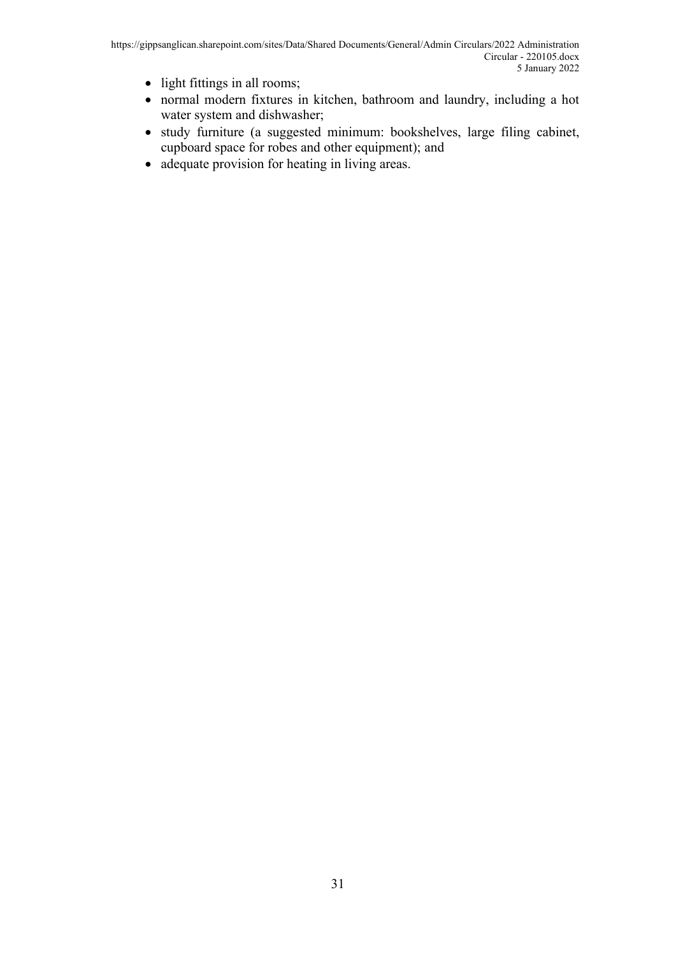- light fittings in all rooms;
- normal modern fixtures in kitchen, bathroom and laundry, including a hot water system and dishwasher;
- study furniture (a suggested minimum: bookshelves, large filing cabinet, cupboard space for robes and other equipment); and
- adequate provision for heating in living areas.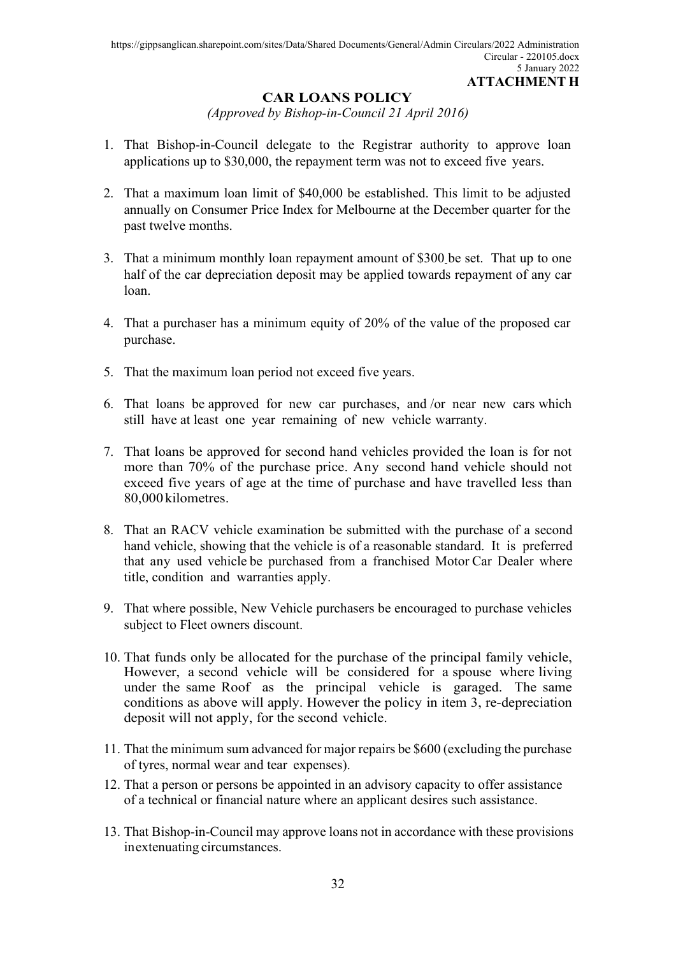#### **CAR LOANS POLICY**

*(Approved by Bishop-in-Council 21 April 2016)*

- 1. That Bishop-in-Council delegate to the Registrar authority to approve loan applications up to \$30,000, the repayment term was not to exceed five years.
- 2. That a maximum loan limit of \$40,000 be established. This limit to be adjusted annually on Consumer Price Index for Melbourne at the December quarter for the past twelve months.
- 3. That a minimum monthly loan repayment amount of \$300 be set. That up to one half of the car depreciation deposit may be applied towards repayment of any car loan.
- 4. That a purchaser has a minimum equity of 20% of the value of the proposed car purchase.
- 5. That the maximum loan period not exceed five years.
- 6. That loans be approved for new car purchases, and /or near new cars which still have at least one year remaining of new vehicle warranty.
- 7. That loans be approved for second hand vehicles provided the loan is for not more than 70% of the purchase price. Any second hand vehicle should not exceed five years of age at the time of purchase and have travelled less than 80,000 kilometres.
- 8. That an RACV vehicle examination be submitted with the purchase of a second hand vehicle, showing that the vehicle is of a reasonable standard. It is preferred that any used vehicle be purchased from a franchised Motor Car Dealer where title, condition and warranties apply.
- 9. That where possible, New Vehicle purchasers be encouraged to purchase vehicles subject to Fleet owners discount.
- 10. That funds only be allocated for the purchase of the principal family vehicle, However, a second vehicle will be considered for a spouse where living under the same Roof as the principal vehicle is garaged. The same conditions as above will apply. However the policy in item 3, re-depreciation deposit will not apply, for the second vehicle.
- 11. That the minimum sum advanced for major repairs be \$600 (excluding the purchase of tyres, normal wear and tear expenses).
- 12. That a person or persons be appointed in an advisory capacity to offer assistance of a technical or financial nature where an applicant desires such assistance.
- 13. That Bishop-in-Council may approve loans not in accordance with these provisions inextenuating circumstances.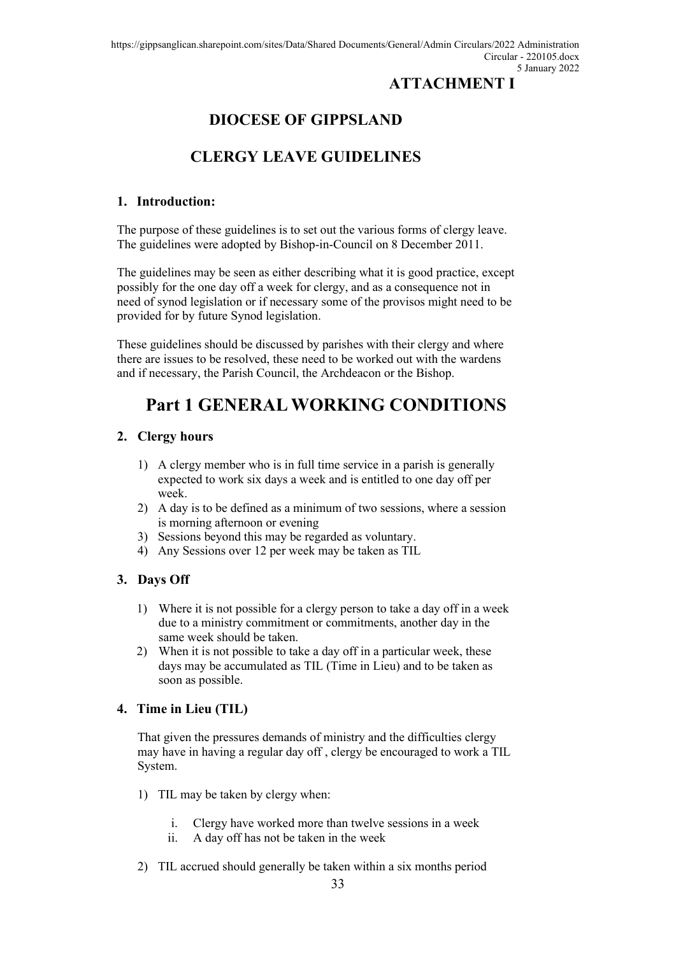## **ATTACHMENT I**

# **DIOCESE OF GIPPSLAND**

## **CLERGY LEAVE GUIDELINES**

#### **1. Introduction:**

The purpose of these guidelines is to set out the various forms of clergy leave. The guidelines were adopted by Bishop-in-Council on 8 December 2011.

The guidelines may be seen as either describing what it is good practice, except possibly for the one day off a week for clergy, and as a consequence not in need of synod legislation or if necessary some of the provisos might need to be provided for by future Synod legislation.

These guidelines should be discussed by parishes with their clergy and where there are issues to be resolved, these need to be worked out with the wardens and if necessary, the Parish Council, the Archdeacon or the Bishop.

## **Part 1 GENERAL WORKING CONDITIONS**

#### **2. Clergy hours**

- 1) A clergy member who is in full time service in a parish is generally expected to work six days a week and is entitled to one day off per week.
- 2) A day is to be defined as a minimum of two sessions, where a session is morning afternoon or evening
- 3) Sessions beyond this may be regarded as voluntary.
- 4) Any Sessions over 12 per week may be taken as TIL

#### **3. Days Off**

- 1) Where it is not possible for a clergy person to take a day off in a week due to a ministry commitment or commitments, another day in the same week should be taken.
- 2) When it is not possible to take a day off in a particular week, these days may be accumulated as TIL (Time in Lieu) and to be taken as soon as possible.

#### **4. Time in Lieu (TIL)**

That given the pressures demands of ministry and the difficulties clergy may have in having a regular day off , clergy be encouraged to work a TIL System.

- 1) TIL may be taken by clergy when:
	- i. Clergy have worked more than twelve sessions in a week
	- ii. A day off has not be taken in the week
- 2) TIL accrued should generally be taken within a six months period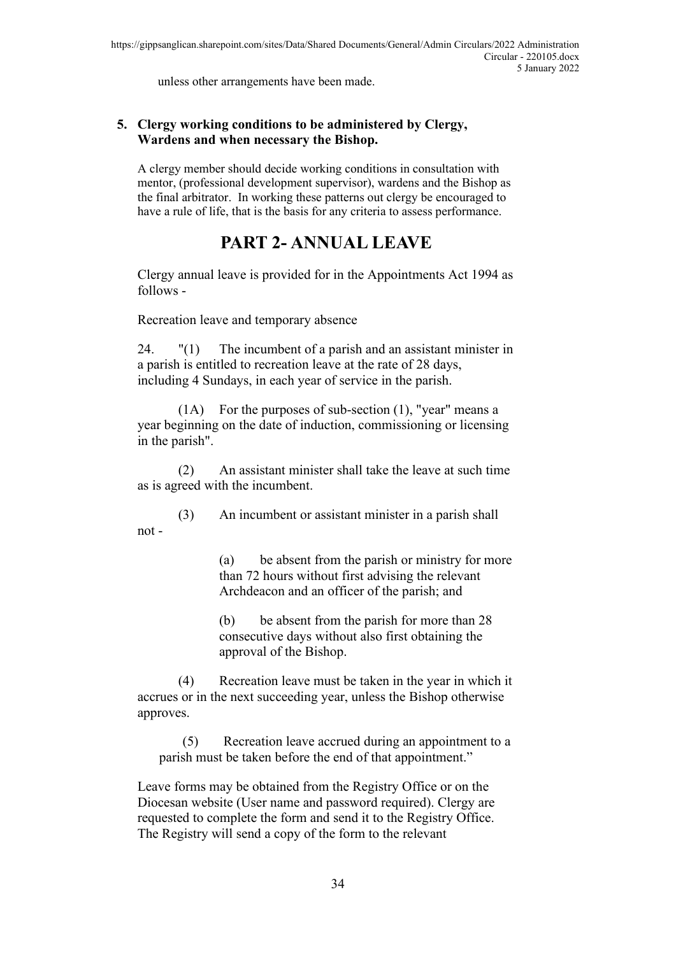unless other arrangements have been made.

#### **5. Clergy working conditions to be administered by Clergy, Wardens and when necessary the Bishop.**

A clergy member should decide working conditions in consultation with mentor, (professional development supervisor), wardens and the Bishop as the final arbitrator. In working these patterns out clergy be encouraged to have a rule of life, that is the basis for any criteria to assess performance.

# **PART 2- ANNUAL LEAVE**

Clergy annual leave is provided for in the Appointments Act 1994 as follows -

Recreation leave and temporary absence

24. "(1) The incumbent of a parish and an assistant minister in a parish is entitled to recreation leave at the rate of 28 days, including 4 Sundays, in each year of service in the parish.

(1A) For the purposes of sub-section (1), "year" means a year beginning on the date of induction, commissioning or licensing in the parish".

(2) An assistant minister shall take the leave at such time as is agreed with the incumbent.

(3) An incumbent or assistant minister in a parish shall not -

> (a) be absent from the parish or ministry for more than 72 hours without first advising the relevant Archdeacon and an officer of the parish; and

(b) be absent from the parish for more than 28 consecutive days without also first obtaining the approval of the Bishop.

(4) Recreation leave must be taken in the year in which it accrues or in the next succeeding year, unless the Bishop otherwise approves.

(5) Recreation leave accrued during an appointment to a parish must be taken before the end of that appointment."

Leave forms may be obtained from the Registry Office or on the Diocesan website (User name and password required). Clergy are requested to complete the form and send it to the Registry Office. The Registry will send a copy of the form to the relevant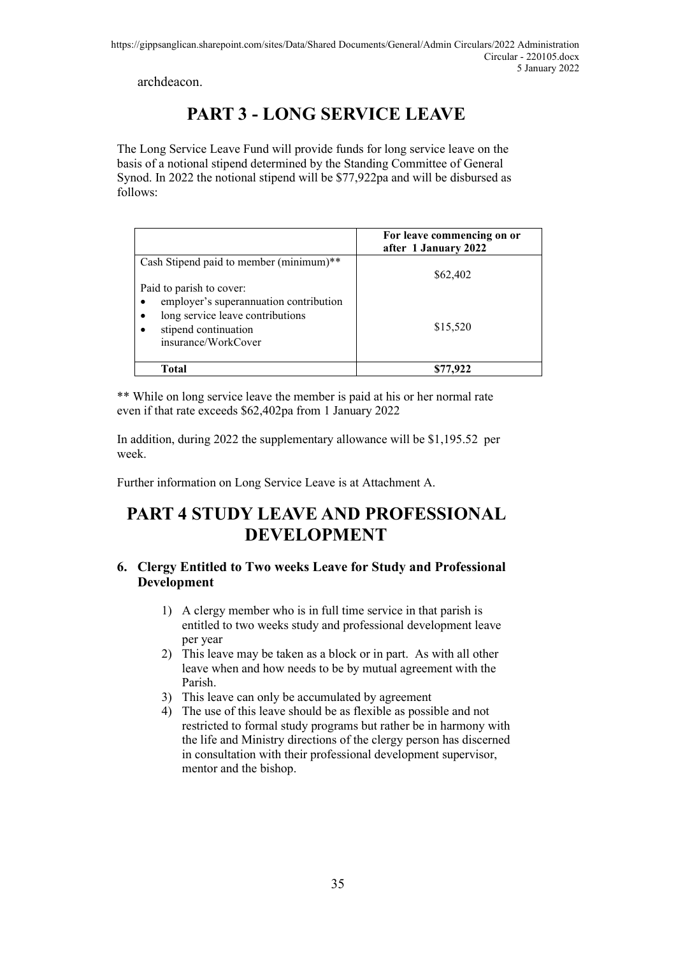archdeacon.

# **PART 3 - LONG SERVICE LEAVE**

The Long Service Leave Fund will provide funds for long service leave on the basis of a notional stipend determined by the Standing Committee of General Synod. In 2022 the notional stipend will be \$77,922pa and will be disbursed as follows:

|                                                                                                                                                                    | For leave commencing on or<br>after 1 January 2022 |
|--------------------------------------------------------------------------------------------------------------------------------------------------------------------|----------------------------------------------------|
| Cash Stipend paid to member (minimum)**                                                                                                                            | \$62,402                                           |
| Paid to parish to cover:<br>employer's superannuation contribution<br>$\bullet$<br>long service leave contributions<br>stipend continuation<br>insurance/WorkCover | \$15,520                                           |
| Total                                                                                                                                                              | \$77,922                                           |

\*\* While on long service leave the member is paid at his or her normal rate even if that rate exceeds \$62,402pa from 1 January 2022

In addition, during 2022 the supplementary allowance will be \$1,195.52 per week.

Further information on Long Service Leave is at Attachment A.

# **PART 4 STUDY LEAVE AND PROFESSIONAL DEVELOPMENT**

#### **6. Clergy Entitled to Two weeks Leave for Study and Professional Development**

- 1) A clergy member who is in full time service in that parish is entitled to two weeks study and professional development leave per year
- 2) This leave may be taken as a block or in part. As with all other leave when and how needs to be by mutual agreement with the Parish.
- 3) This leave can only be accumulated by agreement
- 4) The use of this leave should be as flexible as possible and not restricted to formal study programs but rather be in harmony with the life and Ministry directions of the clergy person has discerned in consultation with their professional development supervisor, mentor and the bishop.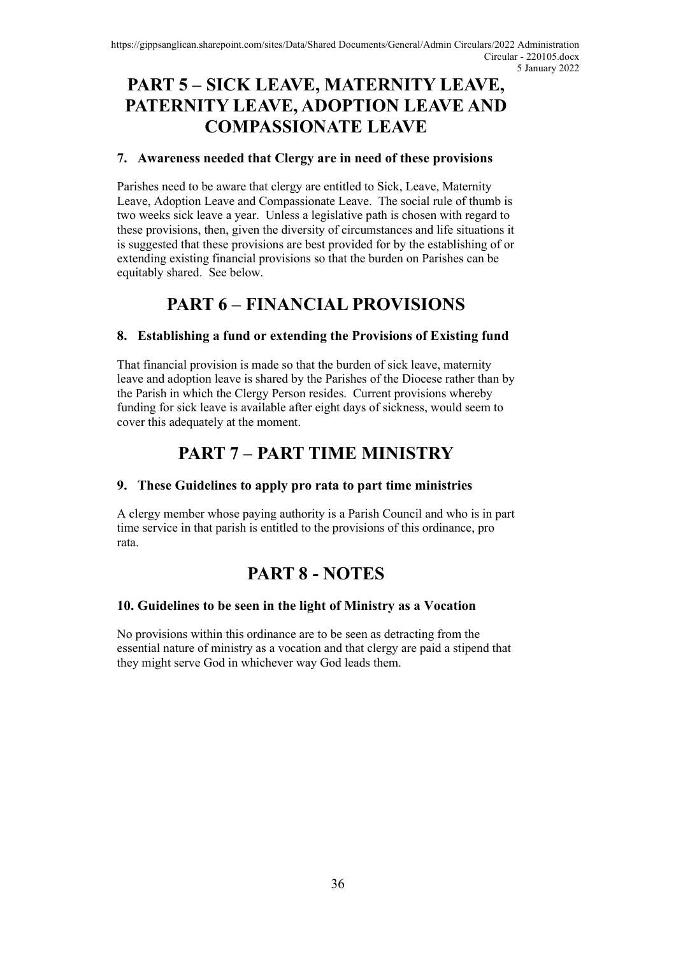# **PART 5 – SICK LEAVE, MATERNITY LEAVE, PATERNITY LEAVE, ADOPTION LEAVE AND COMPASSIONATE LEAVE**

#### **7. Awareness needed that Clergy are in need of these provisions**

Parishes need to be aware that clergy are entitled to Sick, Leave, Maternity Leave, Adoption Leave and Compassionate Leave. The social rule of thumb is two weeks sick leave a year. Unless a legislative path is chosen with regard to these provisions, then, given the diversity of circumstances and life situations it is suggested that these provisions are best provided for by the establishing of or extending existing financial provisions so that the burden on Parishes can be equitably shared. See below.

# **PART 6 – FINANCIAL PROVISIONS**

#### **8. Establishing a fund or extending the Provisions of Existing fund**

That financial provision is made so that the burden of sick leave, maternity leave and adoption leave is shared by the Parishes of the Diocese rather than by the Parish in which the Clergy Person resides. Current provisions whereby funding for sick leave is available after eight days of sickness, would seem to cover this adequately at the moment.

## **PART 7 – PART TIME MINISTRY**

#### **9. These Guidelines to apply pro rata to part time ministries**

A clergy member whose paying authority is a Parish Council and who is in part time service in that parish is entitled to the provisions of this ordinance, pro rata.

## **PART 8 - NOTES**

#### **10. Guidelines to be seen in the light of Ministry as a Vocation**

No provisions within this ordinance are to be seen as detracting from the essential nature of ministry as a vocation and that clergy are paid a stipend that they might serve God in whichever way God leads them.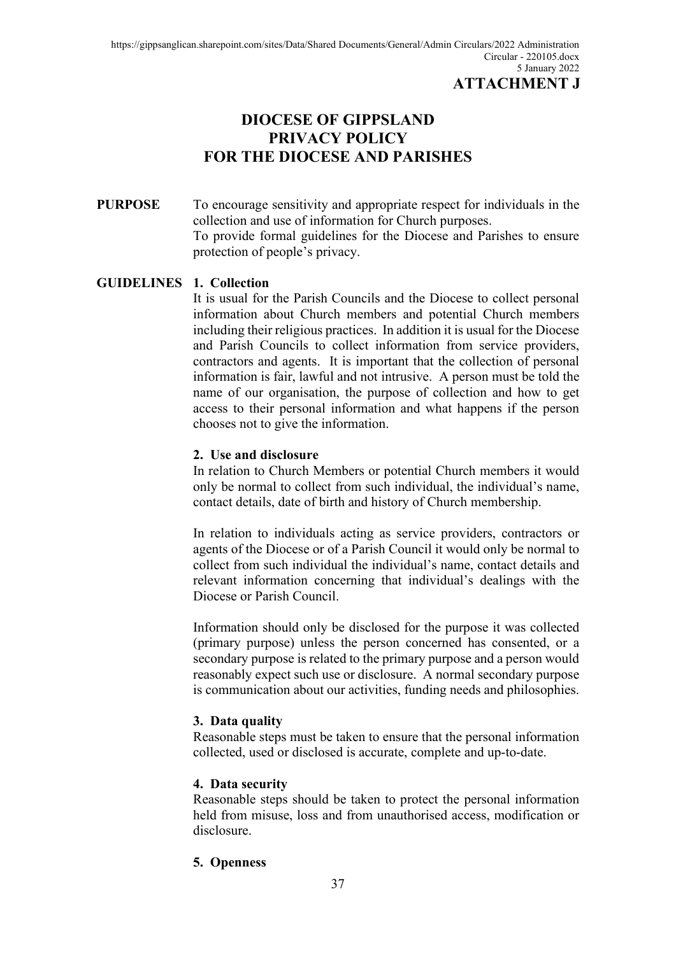## **DIOCESE OF GIPPSLAND PRIVACY POLICY FOR THE DIOCESE AND PARISHES**

#### **PURPOSE** To encourage sensitivity and appropriate respect for individuals in the collection and use of information for Church purposes. To provide formal guidelines for the Diocese and Parishes to ensure protection of people's privacy.

#### **GUIDELINES 1. Collection**

It is usual for the Parish Councils and the Diocese to collect personal information about Church members and potential Church members including their religious practices. In addition it is usual for the Diocese and Parish Councils to collect information from service providers, contractors and agents. It is important that the collection of personal information is fair, lawful and not intrusive. A person must be told the name of our organisation, the purpose of collection and how to get access to their personal information and what happens if the person chooses not to give the information.

#### **2. Use and disclosure**

In relation to Church Members or potential Church members it would only be normal to collect from such individual, the individual's name, contact details, date of birth and history of Church membership.

In relation to individuals acting as service providers, contractors or agents of the Diocese or of a Parish Council it would only be normal to collect from such individual the individual's name, contact details and relevant information concerning that individual's dealings with the Diocese or Parish Council.

Information should only be disclosed for the purpose it was collected (primary purpose) unless the person concerned has consented, or a secondary purpose is related to the primary purpose and a person would reasonably expect such use or disclosure. A normal secondary purpose is communication about our activities, funding needs and philosophies.

#### **3. Data quality**

Reasonable steps must be taken to ensure that the personal information collected, used or disclosed is accurate, complete and up-to-date.

#### **4. Data security**

Reasonable steps should be taken to protect the personal information held from misuse, loss and from unauthorised access, modification or disclosure.

#### **5. Openness**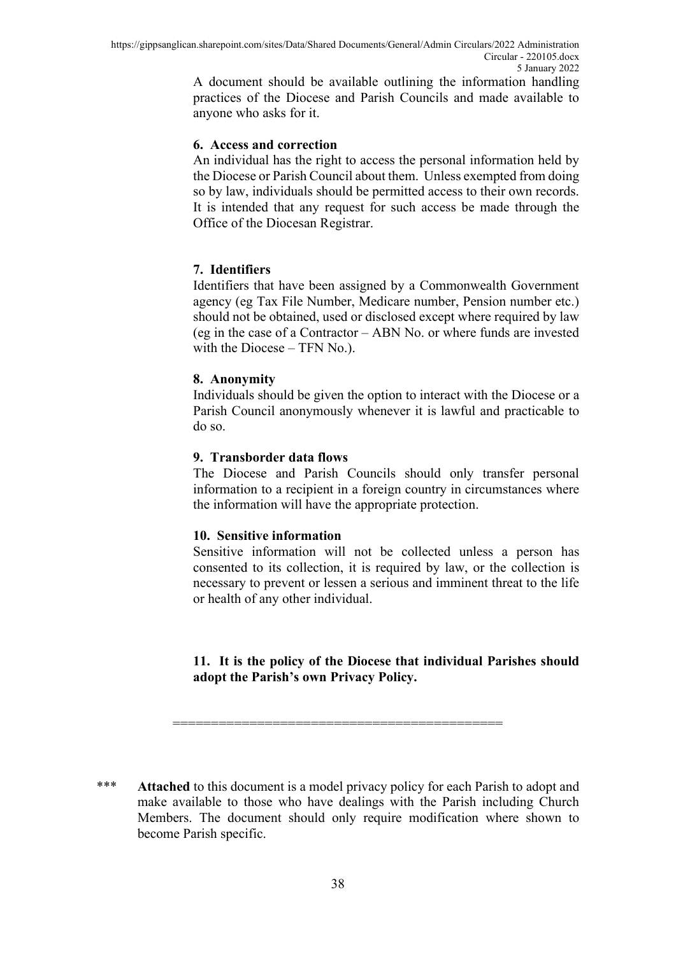A document should be available outlining the information handling practices of the Diocese and Parish Councils and made available to anyone who asks for it.

#### **6. Access and correction**

An individual has the right to access the personal information held by the Diocese or Parish Council about them. Unless exempted from doing so by law, individuals should be permitted access to their own records. It is intended that any request for such access be made through the Office of the Diocesan Registrar.

#### **7. Identifiers**

Identifiers that have been assigned by a Commonwealth Government agency (eg Tax File Number, Medicare number, Pension number etc.) should not be obtained, used or disclosed except where required by law (eg in the case of a Contractor – ABN No. or where funds are invested with the Diocese – TFN No.).

#### **8. Anonymity**

Individuals should be given the option to interact with the Diocese or a Parish Council anonymously whenever it is lawful and practicable to do so.

#### **9. Transborder data flows**

The Diocese and Parish Councils should only transfer personal information to a recipient in a foreign country in circumstances where the information will have the appropriate protection.

#### **10. Sensitive information**

Sensitive information will not be collected unless a person has consented to its collection, it is required by law, or the collection is necessary to prevent or lessen a serious and imminent threat to the life or health of any other individual.

#### **11. It is the policy of the Diocese that individual Parishes should adopt the Parish's own Privacy Policy.**

\*\*\* **Attached** to this document is a model privacy policy for each Parish to adopt and make available to those who have dealings with the Parish including Church Members. The document should only require modification where shown to become Parish specific.

===========================================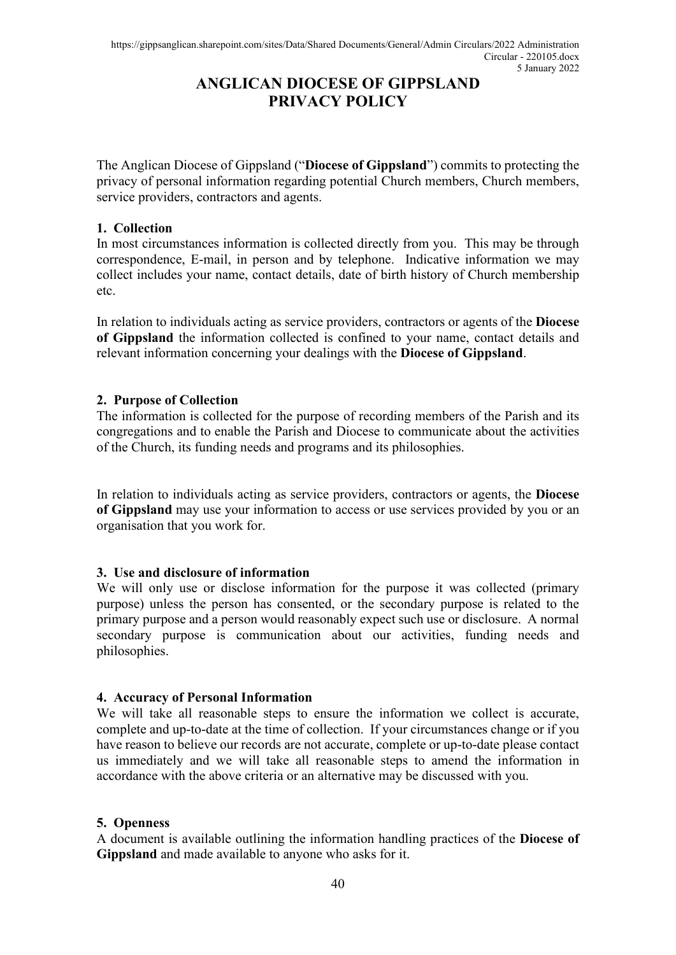## **ANGLICAN DIOCESE OF GIPPSLAND PRIVACY POLICY**

The Anglican Diocese of Gippsland ("**Diocese of Gippsland**") commits to protecting the privacy of personal information regarding potential Church members, Church members, service providers, contractors and agents.

#### **1. Collection**

In most circumstances information is collected directly from you. This may be through correspondence, E-mail, in person and by telephone. Indicative information we may collect includes your name, contact details, date of birth history of Church membership etc.

In relation to individuals acting as service providers, contractors or agents of the **Diocese of Gippsland** the information collected is confined to your name, contact details and relevant information concerning your dealings with the **Diocese of Gippsland**.

### **2. Purpose of Collection**

The information is collected for the purpose of recording members of the Parish and its congregations and to enable the Parish and Diocese to communicate about the activities of the Church, its funding needs and programs and its philosophies.

In relation to individuals acting as service providers, contractors or agents, the **Diocese of Gippsland** may use your information to access or use services provided by you or an organisation that you work for.

### **3. Use and disclosure of information**

We will only use or disclose information for the purpose it was collected (primary purpose) unless the person has consented, or the secondary purpose is related to the primary purpose and a person would reasonably expect such use or disclosure. A normal secondary purpose is communication about our activities, funding needs and philosophies.

#### **4. Accuracy of Personal Information**

We will take all reasonable steps to ensure the information we collect is accurate, complete and up-to-date at the time of collection. If your circumstances change or if you have reason to believe our records are not accurate, complete or up-to-date please contact us immediately and we will take all reasonable steps to amend the information in accordance with the above criteria or an alternative may be discussed with you.

#### **5. Openness**

A document is available outlining the information handling practices of the **Diocese of Gippsland** and made available to anyone who asks for it.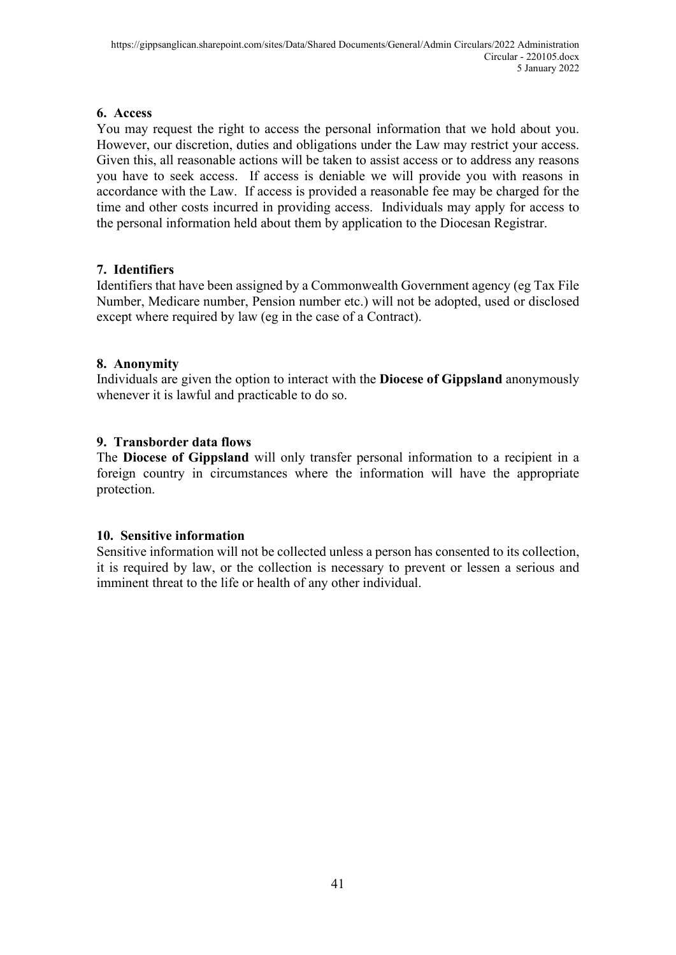#### **6. Access**

You may request the right to access the personal information that we hold about you. However, our discretion, duties and obligations under the Law may restrict your access. Given this, all reasonable actions will be taken to assist access or to address any reasons you have to seek access. If access is deniable we will provide you with reasons in accordance with the Law. If access is provided a reasonable fee may be charged for the time and other costs incurred in providing access. Individuals may apply for access to the personal information held about them by application to the Diocesan Registrar.

### **7. Identifiers**

Identifiers that have been assigned by a Commonwealth Government agency (eg Tax File Number, Medicare number, Pension number etc.) will not be adopted, used or disclosed except where required by law (eg in the case of a Contract).

### **8. Anonymity**

Individuals are given the option to interact with the **Diocese of Gippsland** anonymously whenever it is lawful and practicable to do so.

### **9. Transborder data flows**

The **Diocese of Gippsland** will only transfer personal information to a recipient in a foreign country in circumstances where the information will have the appropriate protection.

### **10. Sensitive information**

Sensitive information will not be collected unless a person has consented to its collection, it is required by law, or the collection is necessary to prevent or lessen a serious and imminent threat to the life or health of any other individual.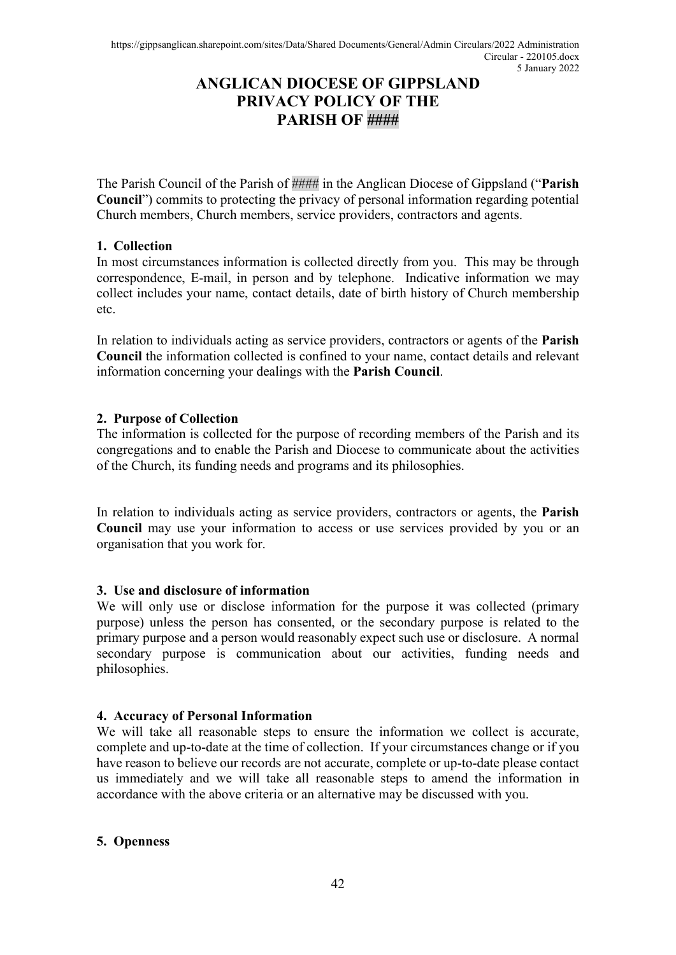## **ANGLICAN DIOCESE OF GIPPSLAND PRIVACY POLICY OF THE PARISH OF ####**

The Parish Council of the Parish of #### in the Anglican Diocese of Gippsland ("**Parish Council**") commits to protecting the privacy of personal information regarding potential Church members, Church members, service providers, contractors and agents.

#### **1. Collection**

In most circumstances information is collected directly from you. This may be through correspondence, E-mail, in person and by telephone. Indicative information we may collect includes your name, contact details, date of birth history of Church membership etc.

In relation to individuals acting as service providers, contractors or agents of the **Parish Council** the information collected is confined to your name, contact details and relevant information concerning your dealings with the **Parish Council**.

#### **2. Purpose of Collection**

The information is collected for the purpose of recording members of the Parish and its congregations and to enable the Parish and Diocese to communicate about the activities of the Church, its funding needs and programs and its philosophies.

In relation to individuals acting as service providers, contractors or agents, the **Parish Council** may use your information to access or use services provided by you or an organisation that you work for.

#### **3. Use and disclosure of information**

We will only use or disclose information for the purpose it was collected (primary purpose) unless the person has consented, or the secondary purpose is related to the primary purpose and a person would reasonably expect such use or disclosure. A normal secondary purpose is communication about our activities, funding needs and philosophies.

#### **4. Accuracy of Personal Information**

We will take all reasonable steps to ensure the information we collect is accurate, complete and up-to-date at the time of collection. If your circumstances change or if you have reason to believe our records are not accurate, complete or up-to-date please contact us immediately and we will take all reasonable steps to amend the information in accordance with the above criteria or an alternative may be discussed with you.

#### **5. Openness**